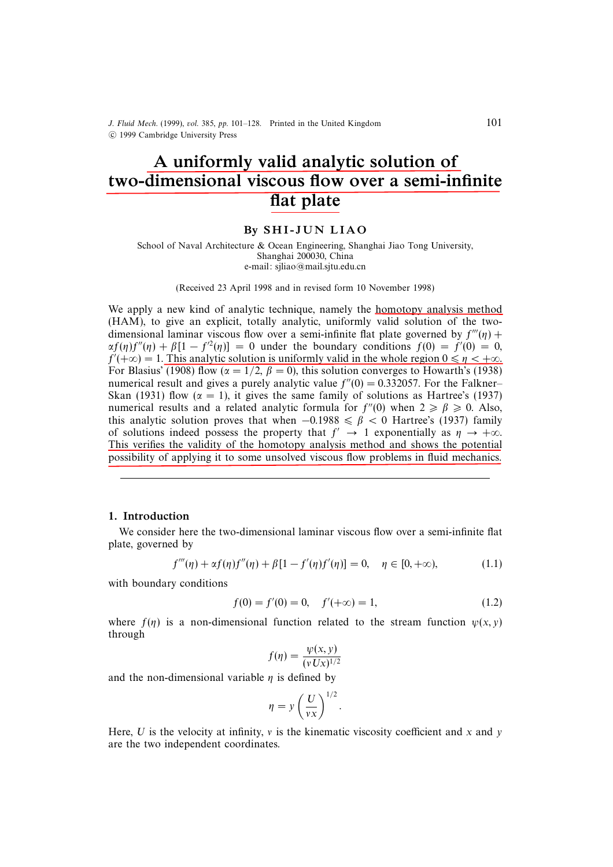J. Fluid Mech. (1999), vol. 385, pp. 101–128. Printed in the United Kingdom c 1999 Cambridge University Press

# A uniformly valid analytic solution of two-dimensional viscous flow over a semi-infinite flat plate

## By SHI-JUN LIAO

School of Naval Architecture & Ocean Engineering, Shanghai Jiao Tong University, Shanghai 200030, China e-mail: sjliao@mail.sjtu.edu.cn

(Received 23 April 1998 and in revised form 10 November 1998)

We apply a new kind of analytic technique, namely the homotopy analysis method (HAM), to give an explicit, totally analytic, uniformly valid solution of the twodimensional laminar viscous flow over a semi-infinite flat plate governed by  $f'''(\eta)$  +  $\alpha f(\eta) f''(\eta) + \beta [1 - f'^2(\eta)] = 0$  under the boundary conditions  $f(0) = f'(0) = 0$ ,  $f'(+\infty) = 1$ . This analytic solution is uniformly valid in the whole region  $0 \le \eta < +\infty$ . For Blasius' (1908) flow ( $\alpha = 1/2$ ,  $\beta = 0$ ), this solution converges to Howarth's (1938) numerical result and gives a purely analytic value  $f''(0) = 0.332057$ . For the Falkner– Skan (1931) flow ( $\alpha = 1$ ), it gives the same family of solutions as Hartree's (1937) numerical results and a related analytic formula for  $f''(0)$  when  $2 \ge \beta \ge 0$ . Also, this analytic solution proves that when  $-0.1988 \le \beta < 0$  Hartree's (1937) family of solutions indeed possess the property that  $f' \rightarrow 1$  exponentially as  $\eta \rightarrow +\infty$ . This verifies the validity of the homotopy analysis method and shows the potential possibility of applying it to some unsolved viscous flow problems in fluid mechanics.

#### 1. Introduction

We consider here the two-dimensional laminar viscous flow over a semi-infinite flat plate, governed by

$$
f'''(\eta) + \alpha f(\eta) f''(\eta) + \beta [1 - f'(\eta) f'(\eta)] = 0, \quad \eta \in [0, +\infty),
$$
 (1.1)

with boundary conditions

$$
f(0) = f'(0) = 0, \quad f'(+\infty) = 1,
$$
\n(1.2)

where  $f(\eta)$  is a non-dimensional function related to the stream function  $\psi(x, y)$ through

$$
f(\eta) = \frac{\psi(x, y)}{(vUx)^{1/2}}
$$

and the non-dimensional variable  $\eta$  is defined by

$$
\eta = y \left(\frac{U}{vx}\right)^{1/2}.
$$

Here, U is the velocity at infinity,  $v$  is the kinematic viscosity coefficient and x and y are the two independent coordinates.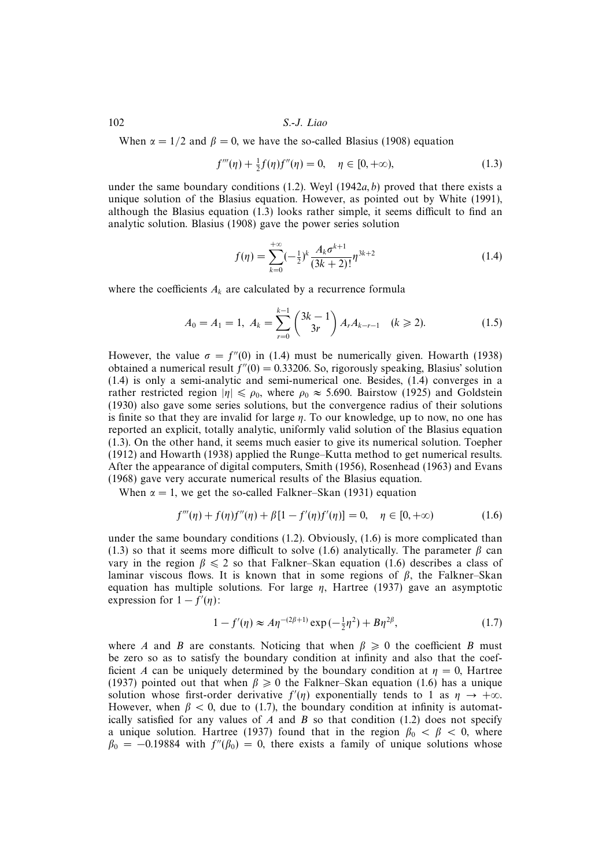When  $\alpha = 1/2$  and  $\beta = 0$ , we have the so-called Blasius (1908) equation

$$
f'''(\eta) + \frac{1}{2}f(\eta)f''(\eta) = 0, \quad \eta \in [0, +\infty), \tag{1.3}
$$

under the same boundary conditions (1.2). Weyl (1942a, b) proved that there exists a unique solution of the Blasius equation. However, as pointed out by White (1991), although the Blasius equation (1.3) looks rather simple, it seems difficult to find an analytic solution. Blasius (1908) gave the power series solution

$$
f(\eta) = \sum_{k=0}^{+\infty} (-\frac{1}{2})^k \frac{A_k \sigma^{k+1}}{(3k+2)!} \eta^{3k+2}
$$
 (1.4)

where the coefficients  $A_k$  are calculated by a recurrence formula

$$
A_0 = A_1 = 1, A_k = \sum_{r=0}^{k-1} {3k-1 \choose 3r} A_r A_{k-r-1} \quad (k \ge 2).
$$
 (1.5)

However, the value  $\sigma = f''(0)$  in (1.4) must be numerically given. Howarth (1938) obtained a numerical result  $f''(0) = 0.33206$ . So, rigorously speaking, Blasius' solution (1.4) is only a semi-analytic and semi-numerical one. Besides, (1.4) converges in a rather restricted region  $|\eta| \le \rho_0$ , where  $\rho_0 \approx 5.690$ . Bairstow (1925) and Goldstein (1930) also gave some series solutions, but the convergence radius of their solutions is finite so that they are invalid for large  $\eta$ . To our knowledge, up to now, no one has reported an explicit, totally analytic, uniformly valid solution of the Blasius equation (1.3). On the other hand, it seems much easier to give its numerical solution. Toepher (1912) and Howarth (1938) applied the Runge–Kutta method to get numerical results. After the appearance of digital computers, Smith (1956), Rosenhead (1963) and Evans (1968) gave very accurate numerical results of the Blasius equation.

When  $\alpha = 1$ , we get the so-called Falkner–Skan (1931) equation

$$
f'''(\eta) + f(\eta)f''(\eta) + \beta[1 - f'(\eta)f'(\eta)] = 0, \quad \eta \in [0, +\infty)
$$
 (1.6)

under the same boundary conditions (1.2). Obviously, (1.6) is more complicated than (1.3) so that it seems more difficult to solve (1.6) analytically. The parameter  $\beta$  can vary in the region  $\beta \leq 2$  so that Falkner–Skan equation (1.6) describes a class of laminar viscous flows. It is known that in some regions of  $\beta$ , the Falkner–Skan equation has multiple solutions. For large  $\eta$ , Hartree (1937) gave an asymptotic expression for  $1 - f'(\eta)$ :

$$
1 - f'(\eta) \approx A\eta^{-(2\beta+1)} \exp(-\frac{1}{2}\eta^2) + B\eta^{2\beta},\tag{1.7}
$$

where A and B are constants. Noticing that when  $\beta \geq 0$  the coefficient B must be zero so as to satisfy the boundary condition at infinity and also that the coefficient A can be uniquely determined by the boundary condition at  $\eta = 0$ , Hartree (1937) pointed out that when  $\beta \ge 0$  the Falkner–Skan equation (1.6) has a unique solution whose first-order derivative  $f'(\eta)$  exponentially tends to 1 as  $\eta \to +\infty$ . However, when  $\beta$  < 0, due to (1.7), the boundary condition at infinity is automatically satisfied for any values of A and B so that condition  $(1.2)$  does not specify a unique solution. Hartree (1937) found that in the region  $\beta_0 < \beta < 0$ , where  $\beta_0 = -0.19884$  with  $f''(\beta_0) = 0$ , there exists a family of unique solutions whose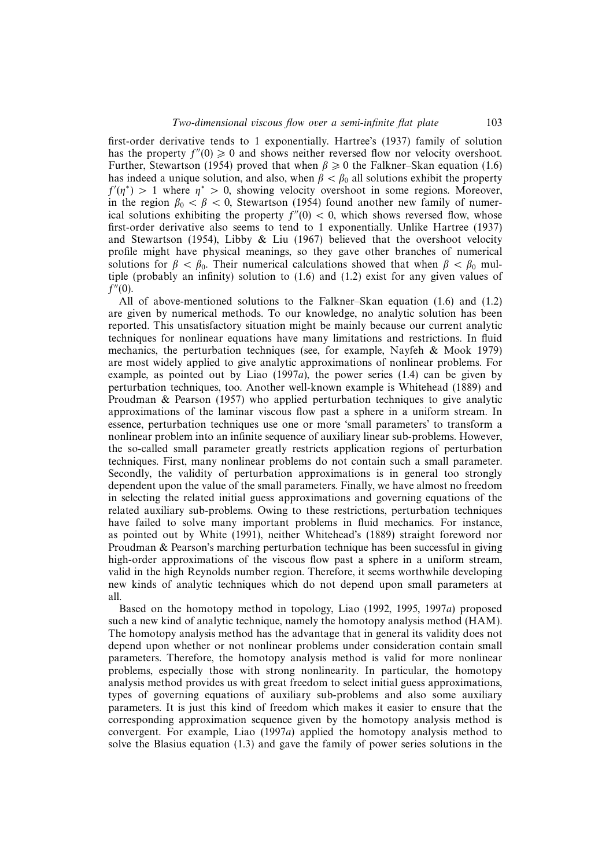first-order derivative tends to 1 exponentially. Hartree's (1937) family of solution has the property  $f''(0) \ge 0$  and shows neither reversed flow nor velocity overshoot. Further, Stewartson (1954) proved that when  $\beta \geq 0$  the Falkner–Skan equation (1.6) has indeed a unique solution, and also, when  $\beta < \beta_0$  all solutions exhibit the property  $f'(\eta^*)$  > 1 where  $\eta^*$  > 0, showing velocity overshoot in some regions. Moreover, in the region  $\beta_0 < \beta < 0$ , Stewartson (1954) found another new family of numerical solutions exhibiting the property  $f''(0) < 0$ , which shows reversed flow, whose first-order derivative also seems to tend to 1 exponentially. Unlike Hartree (1937) and Stewartson (1954), Libby & Liu (1967) believed that the overshoot velocity profile might have physical meanings, so they gave other branches of numerical solutions for  $\beta < \beta_0$ . Their numerical calculations showed that when  $\beta < \beta_0$  multiple (probably an infinity) solution to (1.6) and (1.2) exist for any given values of  $f''(0)$ .

All of above-mentioned solutions to the Falkner–Skan equation (1.6) and (1.2) are given by numerical methods. To our knowledge, no analytic solution has been reported. This unsatisfactory situation might be mainly because our current analytic techniques for nonlinear equations have many limitations and restrictions. In fluid mechanics, the perturbation techniques (see, for example, Nayfeh & Mook 1979) are most widely applied to give analytic approximations of nonlinear problems. For example, as pointed out by Liao (1997a), the power series (1.4) can be given by perturbation techniques, too. Another well-known example is Whitehead (1889) and Proudman & Pearson (1957) who applied perturbation techniques to give analytic approximations of the laminar viscous flow past a sphere in a uniform stream. In essence, perturbation techniques use one or more 'small parameters' to transform a nonlinear problem into an infinite sequence of auxiliary linear sub-problems. However, the so-called small parameter greatly restricts application regions of perturbation techniques. First, many nonlinear problems do not contain such a small parameter. Secondly, the validity of perturbation approximations is in general too strongly dependent upon the value of the small parameters. Finally, we have almost no freedom in selecting the related initial guess approximations and governing equations of the related auxiliary sub-problems. Owing to these restrictions, perturbation techniques have failed to solve many important problems in fluid mechanics. For instance, as pointed out by White (1991), neither Whitehead's (1889) straight foreword nor Proudman & Pearson's marching perturbation technique has been successful in giving high-order approximations of the viscous flow past a sphere in a uniform stream, valid in the high Reynolds number region. Therefore, it seems worthwhile developing new kinds of analytic techniques which do not depend upon small parameters at all.

Based on the homotopy method in topology, Liao (1992, 1995, 1997a) proposed such a new kind of analytic technique, namely the homotopy analysis method (HAM). The homotopy analysis method has the advantage that in general its validity does not depend upon whether or not nonlinear problems under consideration contain small parameters. Therefore, the homotopy analysis method is valid for more nonlinear problems, especially those with strong nonlinearity. In particular, the homotopy analysis method provides us with great freedom to select initial guess approximations, types of governing equations of auxiliary sub-problems and also some auxiliary parameters. It is just this kind of freedom which makes it easier to ensure that the corresponding approximation sequence given by the homotopy analysis method is convergent. For example, Liao (1997a) applied the homotopy analysis method to solve the Blasius equation (1.3) and gave the family of power series solutions in the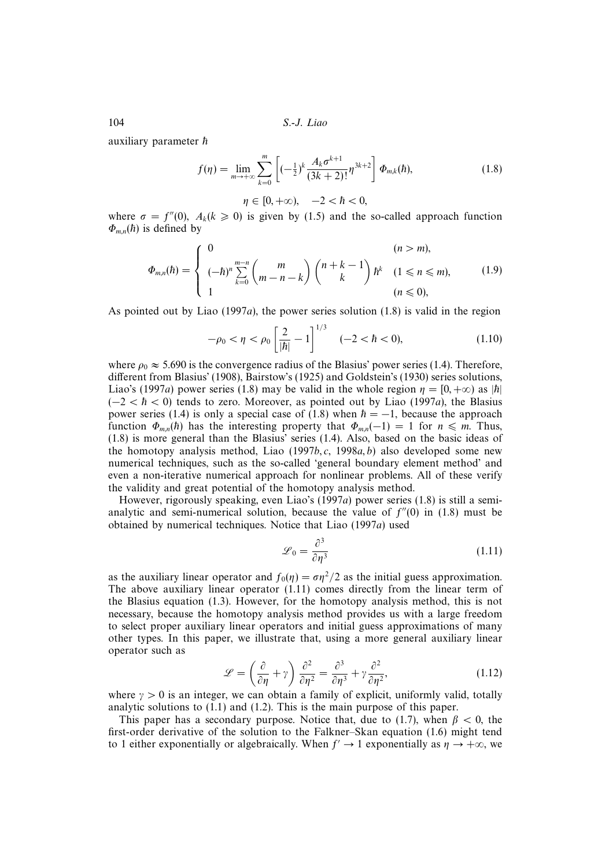auxiliary parameter  $\hbar$ 

$$
f(\eta) = \lim_{m \to +\infty} \sum_{k=0}^{m} \left[ (-\frac{1}{2})^k \frac{A_k \sigma^{k+1}}{(3k+2)!} \eta^{3k+2} \right] \Phi_{m,k}(\hbar), \tag{1.8}
$$

 $\eta \in [0, +\infty), \quad -2 < \hbar < 0,$ 

where  $\sigma = f''(0)$ ,  $A_k(k \ge 0)$  is given by (1.5) and the so-called approach function  $\Phi_{m,n}(\hbar)$  is defined by

$$
\Phi_{m,n}(\hbar) = \begin{cases}\n0 & (n > m), \\
(-\hbar)^n \sum_{k=0}^{m-n} \binom{m}{m-n-k} \binom{n+k-1}{k} \hbar^k & (1 \le n \le m), \\
1 & (n \le 0),\n\end{cases}
$$
\n(1.9)

As pointed out by Liao  $(1997a)$ , the power series solution  $(1.8)$  is valid in the region

$$
-\rho_0 < \eta < \rho_0 \left[ \frac{2}{|\hbar|} - 1 \right]^{1/3} \quad (-2 < \hbar < 0), \tag{1.10}
$$

where  $\rho_0 \approx 5.690$  is the convergence radius of the Blasius' power series (1.4). Therefore, different from Blasius' (1908), Bairstow's (1925) and Goldstein's (1930) series solutions, Liao's (1997a) power series (1.8) may be valid in the whole region  $\eta = [0, +\infty)$  as |h|  $(-2 < h < 0)$  tends to zero. Moreover, as pointed out by Liao (1997a), the Blasius power series (1.4) is only a special case of (1.8) when  $\hbar = -1$ , because the approach function  $\Phi_{m,n}(\hbar)$  has the interesting property that  $\Phi_{m,n}(-1) = 1$  for  $n \leq m$ . Thus, (1.8) is more general than the Blasius' series (1.4). Also, based on the basic ideas of the homotopy analysis method, Liao  $(1997b, c, 1998a, b)$  also developed some new numerical techniques, such as the so-called 'general boundary element method' and even a non-iterative numerical approach for nonlinear problems. All of these verify the validity and great potential of the homotopy analysis method.

However, rigorously speaking, even Liao's (1997a) power series (1.8) is still a semianalytic and semi-numerical solution, because the value of  $f''(0)$  in (1.8) must be obtained by numerical techniques. Notice that Liao (1997a) used

$$
\mathcal{L}_0 = \frac{\partial^3}{\partial \eta^3} \tag{1.11}
$$

as the auxiliary linear operator and  $f_0(\eta) = \sigma \eta^2/2$  as the initial guess approximation. The above auxiliary linear operator (1.11) comes directly from the linear term of the Blasius equation (1.3). However, for the homotopy analysis method, this is not necessary, because the homotopy analysis method provides us with a large freedom to select proper auxiliary linear operators and initial guess approximations of many other types. In this paper, we illustrate that, using a more general auxiliary linear operator such as

$$
\mathcal{L} = \left(\frac{\partial}{\partial \eta} + \gamma\right) \frac{\partial^2}{\partial \eta^2} = \frac{\partial^3}{\partial \eta^3} + \gamma \frac{\partial^2}{\partial \eta^2},\tag{1.12}
$$

where  $\gamma > 0$  is an integer, we can obtain a family of explicit, uniformly valid, totally analytic solutions to (1.1) and (1.2). This is the main purpose of this paper.

This paper has a secondary purpose. Notice that, due to (1.7), when  $\beta$  < 0, the first-order derivative of the solution to the Falkner–Skan equation (1.6) might tend to 1 either exponentially or algebraically. When  $f' \rightarrow 1$  exponentially as  $\eta \rightarrow +\infty$ , we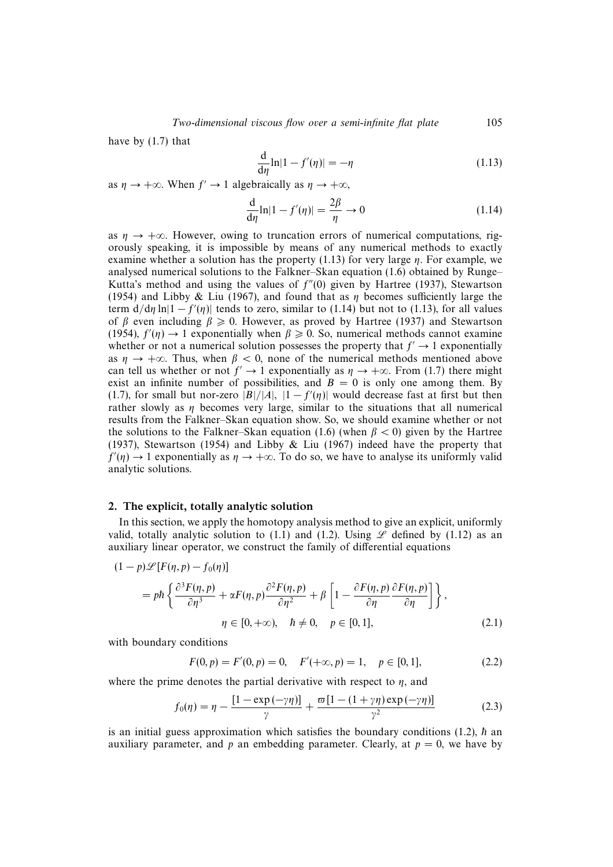have by (1.7) that

$$
\frac{\mathrm{d}}{\mathrm{d}\eta}\ln|1 - f'(\eta)| = -\eta \tag{1.13}
$$

as  $\eta \rightarrow +\infty$ . When  $f' \rightarrow 1$  algebraically as  $\eta \rightarrow +\infty$ ,

$$
\frac{\mathrm{d}}{\mathrm{d}\eta}\ln|1 - f'(\eta)| = \frac{2\beta}{\eta} \to 0\tag{1.14}
$$

as  $n \to +\infty$ . However, owing to truncation errors of numerical computations, rigorously speaking, it is impossible by means of any numerical methods to exactly examine whether a solution has the property  $(1.13)$  for very large  $\eta$ . For example, we analysed numerical solutions to the Falkner–Skan equation (1.6) obtained by Runge– Kutta's method and using the values of  $f''(0)$  given by Hartree (1937), Stewartson (1954) and Libby & Liu (1967), and found that as  $\eta$  becomes sufficiently large the term  $d/d\eta \ln|1 - f'(\eta)|$  tends to zero, similar to (1.14) but not to (1.13), for all values of β even including  $\beta \ge 0$ . However, as proved by Hartree (1937) and Stewartson (1954),  $f'(\eta) \to 1$  exponentially when  $\beta \ge 0$ . So, numerical methods cannot examine whether or not a numerical solution possesses the property that  $f' \rightarrow 1$  exponentially as  $\eta \to +\infty$ . Thus, when  $\beta < 0$ , none of the numerical methods mentioned above can tell us whether or not  $f' \rightarrow 1$  exponentially as  $\eta \rightarrow +\infty$ . From (1.7) there might exist an infinite number of possibilities, and  $B = 0$  is only one among them. By (1.7), for small but nor-zero  $|B|/|A|$ ,  $|1-f'(\eta)|$  would decrease fast at first but then rather slowly as  $\eta$  becomes very large, similar to the situations that all numerical results from the Falkner–Skan equation show. So, we should examine whether or not the solutions to the Falkner–Skan equation (1.6) (when  $\beta$  < 0) given by the Hartree (1937), Stewartson (1954) and Libby & Liu (1967) indeed have the property that  $f'(\eta) \to 1$  exponentially as  $\eta \to +\infty$ . To do so, we have to analyse its uniformly valid analytic solutions.

## 2. The explicit, totally analytic solution

In this section, we apply the homotopy analysis method to give an explicit, uniformly valid, totally analytic solution to (1.1) and (1.2). Using  $\mathscr L$  defined by (1.12) as an auxiliary linear operator, we construct the family of differential equations

$$
(1-p)\mathcal{L}[F(\eta, p) - f_0(\eta)]
$$
  
=  $p\hbar \left\{ \frac{\partial^3 F(\eta, p)}{\partial \eta^3} + \alpha F(\eta, p) \frac{\partial^2 F(\eta, p)}{\partial \eta^2} + \beta \left[ 1 - \frac{\partial F(\eta, p)}{\partial \eta} \frac{\partial F(\eta, p)}{\partial \eta} \right] \right\},$   
 $\eta \in [0, +\infty), \quad \hbar \neq 0, \quad p \in [0, 1],$  (2.1)

with boundary conditions

$$
F(0, p) = F'(0, p) = 0, \quad F'(+\infty, p) = 1, \quad p \in [0, 1], \tag{2.2}
$$

where the prime denotes the partial derivative with respect to  $\eta$ , and

$$
f_0(\eta) = \eta - \frac{[1 - \exp(-\gamma \eta)]}{\gamma} + \frac{\varpi [1 - (1 + \gamma \eta) \exp(-\gamma \eta)]}{\gamma^2}
$$
(2.3)

is an initial guess approximation which satisfies the boundary conditions (1.2),  $\hbar$  an auxiliary parameter, and p an embedding parameter. Clearly, at  $p = 0$ , we have by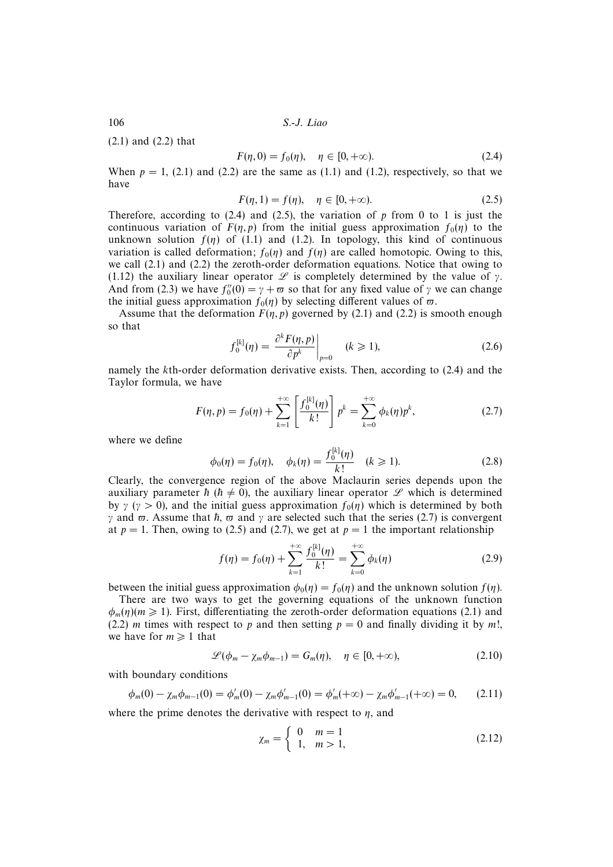(2.1) and (2.2) that

$$
F(\eta, 0) = f_0(\eta), \quad \eta \in [0, +\infty).
$$
 (2.4)

When  $p = 1$ , (2.1) and (2.2) are the same as (1.1) and (1.2), respectively, so that we have

$$
F(\eta, 1) = f(\eta), \quad \eta \in [0, +\infty). \tag{2.5}
$$

Therefore, according to  $(2.4)$  and  $(2.5)$ , the variation of p from 0 to 1 is just the continuous variation of  $F(\eta, p)$  from the initial guess approximation  $f_0(\eta)$  to the unknown solution  $f(\eta)$  of (1.1) and (1.2). In topology, this kind of continuous variation is called deformation;  $f_0(\eta)$  and  $f(\eta)$  are called homotopic. Owing to this, we call (2.1) and (2.2) the zeroth-order deformation equations. Notice that owing to (1.12) the auxiliary linear operator  $\mathscr L$  is completely determined by the value of  $\gamma$ . And from (2.3) we have  $f_0''(0) = \gamma + \varpi$  so that for any fixed value of  $\gamma$  we can change the initial guess approximation  $f_0(\eta)$  by selecting different values of  $\varpi$ .

Assume that the deformation  $F(\eta, p)$  governed by (2.1) and (2.2) is smooth enough so that

$$
f_0^{[k]}(\eta) = \left. \frac{\partial^k F(\eta, p)}{\partial p^k} \right|_{p=0} \quad (k \ge 1), \tag{2.6}
$$

namely the kth-order deformation derivative exists. Then, according to (2.4) and the Taylor formula, we have

$$
F(\eta, p) = f_0(\eta) + \sum_{k=1}^{+\infty} \left[ \frac{f_0^{[k]}(\eta)}{k!} \right] p^k = \sum_{k=0}^{+\infty} \phi_k(\eta) p^k, \tag{2.7}
$$

where we define

$$
\phi_0(\eta) = f_0(\eta), \quad \phi_k(\eta) = \frac{f_0^{[k]}(\eta)}{k!} \quad (k \ge 1). \tag{2.8}
$$

Clearly, the convergence region of the above Maclaurin series depends upon the auxiliary parameter  $\hbar$  ( $\hbar \neq 0$ ), the auxiliary linear operator  $\mathscr L$  which is determined by  $\gamma$  ( $\gamma > 0$ ), and the initial guess approximation  $f_0(\eta)$  which is determined by both  $γ$  and  $π$ . Assume that  $h, π$  and  $γ$  are selected such that the series (2.7) is convergent at  $p = 1$ . Then, owing to (2.5) and (2.7), we get at  $p = 1$  the important relationship

$$
f(\eta) = f_0(\eta) + \sum_{k=1}^{+\infty} \frac{f_0^{[k]}(\eta)}{k!} = \sum_{k=0}^{+\infty} \phi_k(\eta)
$$
 (2.9)

between the initial guess approximation  $\phi_0(\eta) = f_0(\eta)$  and the unknown solution  $f(\eta)$ .

There are two ways to get the governing equations of the unknown function  $\phi_m(\eta)(m \ge 1)$ . First, differentiating the zeroth-order deformation equations (2.1) and (2.2) *m* times with respect to *p* and then setting  $p = 0$  and finally dividing it by *m*!, we have for  $m \geq 1$  that

$$
\mathcal{L}(\phi_m - \chi_m \phi_{m-1}) = G_m(\eta), \quad \eta \in [0, +\infty), \tag{2.10}
$$

with boundary conditions

$$
\phi_m(0) - \chi_m \phi_{m-1}(0) = \phi'_m(0) - \chi_m \phi'_{m-1}(0) = \phi'_m(+\infty) - \chi_m \phi'_{m-1}(+\infty) = 0, \qquad (2.11)
$$

where the prime denotes the derivative with respect to  $\eta$ , and

$$
\chi_m = \begin{cases} 0 & m = 1 \\ 1, & m > 1, \end{cases}
$$
 (2.12)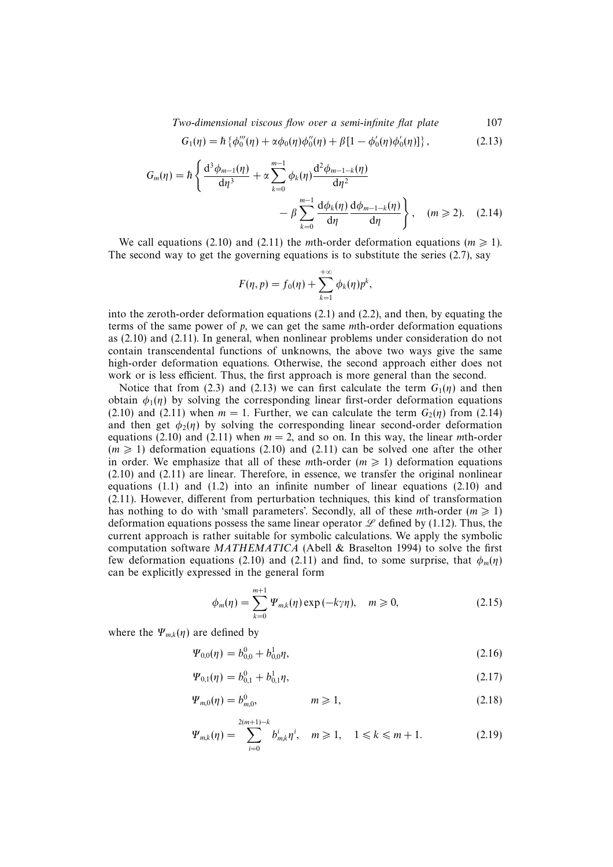Two-dimensional viscous flow over a semi-infinite flat plate 107

$$
G_1(\eta) = \hbar \left\{ \phi_0'''(\eta) + \alpha \phi_0(\eta) \phi_0''(\eta) + \beta [1 - \phi_0'(\eta) \phi_0'(\eta)] \right\},\tag{2.13}
$$

$$
G_m(\eta) = \hbar \left\{ \frac{d^3 \phi_{m-1}(\eta)}{d\eta^3} + \alpha \sum_{k=0}^{m-1} \phi_k(\eta) \frac{d^2 \phi_{m-1-k}(\eta)}{d\eta^2} - \beta \sum_{k=0}^{m-1} \frac{d\phi_k(\eta)}{d\eta} \frac{d\phi_{m-1-k}(\eta)}{d\eta} \right\}, \quad (m \ge 2). \quad (2.14)
$$

We call equations (2.10) and (2.11) the *m*th-order deformation equations ( $m \ge 1$ ). The second way to get the governing equations is to substitute the series  $(2.7)$ , say

$$
F(\eta, p) = f_0(\eta) + \sum_{k=1}^{+\infty} \phi_k(\eta) p^k,
$$

into the zeroth-order deformation equations  $(2.1)$  and  $(2.2)$ , and then, by equating the terms of the same power of  $p$ , we can get the same mth-order deformation equations as (2.10) and (2.11). In general, when nonlinear problems under consideration do not contain transcendental functions of unknowns, the above two ways give the same high-order deformation equations. Otherwise, the second approach either does not work or is less efficient. Thus, the first approach is more general than the second.

Notice that from (2.3) and (2.13) we can first calculate the term  $G_1(\eta)$  and then obtain  $\phi_1(\eta)$  by solving the corresponding linear first-order deformation equations (2.10) and (2.11) when  $m = 1$ . Further, we can calculate the term  $G_2(\eta)$  from (2.14) and then get  $\phi_2(\eta)$  by solving the corresponding linear second-order deformation equations (2.10) and (2.11) when  $m = 2$ , and so on. In this way, the linear mth-order  $(m \ge 1)$  deformation equations (2.10) and (2.11) can be solved one after the other in order. We emphasize that all of these *mth*-order ( $m \ge 1$ ) deformation equations (2.10) and (2.11) are linear. Therefore, in essence, we transfer the original nonlinear equations  $(1.1)$  and  $(1.2)$  into an infinite number of linear equations  $(2.10)$  and (2.11). However, different from perturbation techniques, this kind of transformation has nothing to do with 'small parameters'. Secondly, all of these mth-order ( $m \ge 1$ ) deformation equations possess the same linear operator  $\mathscr L$  defined by (1.12). Thus, the current approach is rather suitable for symbolic calculations. We apply the symbolic computation software MATHEMATICA (Abell & Braselton 1994) to solve the first few deformation equations (2.10) and (2.11) and find, to some surprise, that  $\phi_m(\eta)$ can be explicitly expressed in the general form

$$
\phi_m(\eta) = \sum_{k=0}^{m+1} \Psi_{m,k}(\eta) \exp(-k\gamma\eta), \quad m \ge 0,
$$
\n(2.15)

where the  $\Psi_{m,k}(\eta)$  are defined by

$$
\Psi_{0,0}(\eta) = b_{0,0}^0 + b_{0,0}^1 \eta,\tag{2.16}
$$

$$
\Psi_{0,1}(\eta) = b_{0,1}^0 + b_{0,1}^1 \eta,\tag{2.17}
$$

$$
\Psi_{m,0}(\eta) = b_{m,0}^0, \qquad m \geq 1,
$$
\n(2.18)

$$
\Psi_{m,k}(\eta) = \sum_{i=0}^{2(m+1)-k} b_{m,k}^i \eta^i, \quad m \ge 1, \quad 1 \le k \le m+1. \tag{2.19}
$$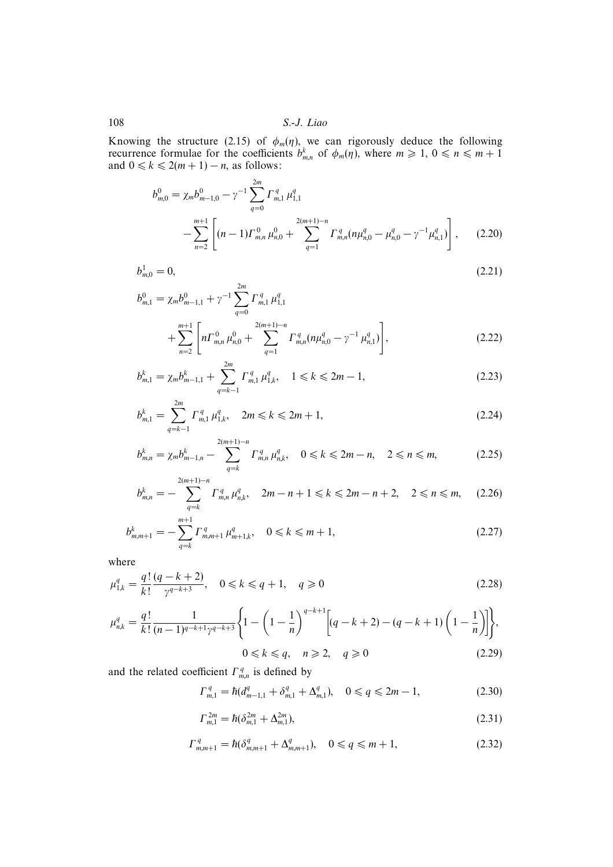Knowing the structure (2.15) of  $\phi_m(\eta)$ , we can rigorously deduce the following recurrence formulae for the coefficients  $b_{m,n}^k$  of  $\phi_m(\eta)$ , where  $m \geq 1, 0 \leq n \leq m+1$ and  $0 \leq k \leq 2(m + 1) - n$ , as follows:

$$
b_{m,0}^{0} = \chi_m b_{m-1,0}^{0} - \gamma^{-1} \sum_{q=0}^{2m} \Gamma_{m,1}^q \mu_{1,1}^q
$$
  
 
$$
- \sum_{n=2}^{m+1} \left[ (n-1) \Gamma_{m,n}^0 \mu_{n,0}^0 + \sum_{q=1}^{2(m+1)-n} \Gamma_{m,n}^q (n \mu_{n,0}^q - \mu_{n,0}^q - \gamma^{-1} \mu_{n,1}^q) \right], \qquad (2.20)
$$

 $\boldsymbol{b}_{\mathrm{m},0}^{1}=\boldsymbol{0},$  $\frac{1}{m,0} = 0,$  (2.21)

$$
b_{m,1}^{0} = \chi_m b_{m-1,1}^{0} + \gamma^{-1} \sum_{q=0}^{2m} \Gamma_{m,1}^q \mu_{1,1}^q
$$
  
+ 
$$
\sum_{n=2}^{m+1} \left[ n \Gamma_{m,n}^0 \mu_{n,0}^0 + \sum_{q=1}^{2(m+1)-n} \Gamma_{m,n}^q (n \mu_{n,0}^q - \gamma^{-1} \mu_{n,1}^q) \right],
$$
 (2.22)

$$
b_{m,1}^k = \chi_m b_{m-1,1}^k + \sum_{q=k-1}^{2m} \Gamma_{m,1}^q \mu_{1,k}^q, \quad 1 \le k \le 2m-1,
$$
 (2.23)

$$
b_{m,1}^k = \sum_{q=k-1}^{2m} \Gamma_{m,1}^q \mu_{1,k}^q, \quad 2m \le k \le 2m+1,
$$
\n(2.24)

$$
b_{m,n}^k = \chi_m b_{m-1,n}^k - \sum_{q=k}^{2(m+1)-n} \Gamma_{m,n}^q \mu_{n,k}^q, \quad 0 \le k \le 2m-n, \quad 2 \le n \le m,
$$
 (2.25)

$$
b_{m,n}^k = -\sum_{q=k}^{2(m+1)-n} \Gamma_{m,n}^q \mu_{n,k}^q, \quad 2m-n+1 \leq k \leq 2m-n+2, \quad 2 \leq n \leq m, \quad (2.26)
$$

$$
b_{m,m+1}^k = -\sum_{q=k}^{m+1} \Gamma_{m,m+1}^q \mu_{m+1,k}^q, \quad 0 \le k \le m+1,
$$
\n(2.27)

where

$$
\mu_{1,k}^q = \frac{q!}{k!} \frac{(q-k+2)}{\gamma^{q-k+3}}, \quad 0 \le k \le q+1, \quad q \ge 0
$$
\n(2.28)

$$
\mu_{n,k}^q = \frac{q!}{k!} \frac{1}{(n-1)^{q-k+1} \gamma^{q-k+3}} \left\{ 1 - \left( 1 - \frac{1}{n} \right)^{q-k+1} \left[ (q-k+2) - (q-k+1) \left( 1 - \frac{1}{n} \right) \right] \right\},\tag{2.29}
$$

$$
0 \le k \le q, \quad n \ge 2, \quad q \ge 0 \tag{2.29}
$$

and the related coefficient  $\Gamma_{m,n}^q$  is defined by

$$
\Gamma_{m,1}^q = \hbar (d_{m-1,1}^q + \delta_{m,1}^q + \Delta_{m,1}^q), \quad 0 \le q \le 2m - 1, \tag{2.30}
$$

$$
\Gamma_{m,1}^{2m} = \hbar (\delta_{m,1}^{2m} + \Delta_{m,1}^{2m}), \tag{2.31}
$$

$$
\Gamma_{m,m+1}^q = \hbar (\delta_{m,m+1}^q + \Delta_{m,m+1}^q), \quad 0 \le q \le m+1,
$$
\n(2.32)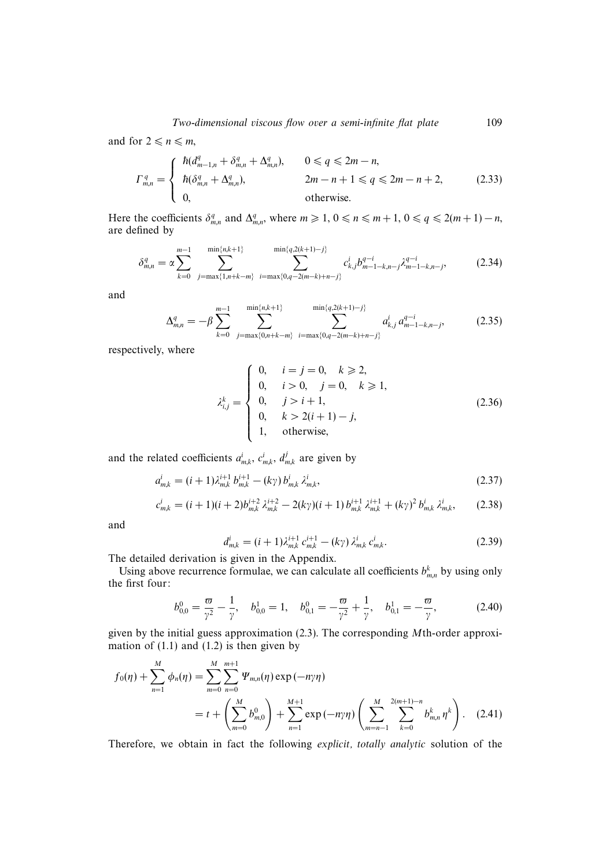and for  $2 \le n \le m$ ,

$$
\Gamma_{m,n}^q = \begin{cases}\n\hbar (d_{m-1,n}^q + \delta_{m,n}^q + \Delta_{m,n}^q), & 0 \le q \le 2m - n, \\
\hbar (\delta_{m,n}^q + \Delta_{m,n}^q), & 2m - n + 1 \le q \le 2m - n + 2, \\
0, & \text{otherwise.} \n\end{cases}
$$
\n(2.33)

Here the coefficients  $\delta_{m,n}^q$  and  $\Delta_{m,n}^q$ , where  $m \geq 1, 0 \leq n \leq m+1, 0 \leq q \leq 2(m+1)-n$ , are defined by

$$
\delta_{m,n}^q = \alpha \sum_{k=0}^{m-1} \sum_{j=\max\{1,n+k-m\}}^{\min\{n,k+1\}} \sum_{i=\max\{0,q-2(m-k)+n-j\}}^{\min\{q,2(k+1)-j\}} c_{k,j}^i b_{m-1-k,n-j}^{q-i} \lambda_{m-1-k,n-j}^{q-i},\tag{2.34}
$$

and

$$
\Delta_{m,n}^q = -\beta \sum_{k=0}^{m-1} \sum_{j=\max\{0,n+k-m\}}^{\min\{n,k+1\}} \sum_{i=\max\{0,q-2(m-k)+n-j\}}^{\min\{q,2(k+1)-j\}} a_{k,j}^i a_{m-1-k,n-j}^{q-i}, \tag{2.35}
$$

respectively, where

$$
\lambda_{i,j}^k = \begin{cases}\n0, & i = j = 0, \quad k \ge 2, \\
0, & i > 0, \quad j = 0, \quad k \ge 1, \\
0, & j > i + 1, \\
0, & k > 2(i + 1) - j, \\
1, & \text{otherwise,} \n\end{cases}
$$
\n(2.36)

and the related coefficients  $a_{m,k}^i$ ,  $c_{m,k}^i$ ,  $d_{m,k}^j$  are given by

$$
a_{m,k}^i = (i+1)\lambda_{m,k}^{i+1} b_{m,k}^{i+1} - (k\gamma) b_{m,k}^i \lambda_{m,k}^i,
$$
\n(2.37)

$$
c_{m,k}^i = (i+1)(i+2)b_{m,k}^{i+2} \lambda_{m,k}^{i+2} - 2(k\gamma)(i+1) b_{m,k}^{i+1} \lambda_{m,k}^{i+1} + (k\gamma)^2 b_{m,k}^i \lambda_{m,k}^i, \qquad (2.38)
$$

and

$$
d_{m,k}^i = (i+1)\lambda_{m,k}^{i+1} c_{m,k}^{i+1} - (k\gamma) \lambda_{m,k}^i c_{m,k}^i.
$$
 (2.39)

The detailed derivation is given in the Appendix.

Using above recurrence formulae, we can calculate all coefficients  $b_{m,n}^k$  by using only the first four:

$$
b_{0,0}^0 = \frac{\varpi}{\gamma^2} - \frac{1}{\gamma}, \quad b_{0,0}^1 = 1, \quad b_{0,1}^0 = -\frac{\varpi}{\gamma^2} + \frac{1}{\gamma}, \quad b_{0,1}^1 = -\frac{\varpi}{\gamma}, \tag{2.40}
$$

given by the initial guess approximation (2.3). The corresponding Mth-order approximation of  $(1.1)$  and  $(1.2)$  is then given by

$$
f_0(\eta) + \sum_{n=1}^{M} \phi_n(\eta) = \sum_{m=0}^{M} \sum_{n=0}^{m+1} \Psi_{m,n}(\eta) \exp(-n\gamma\eta)
$$
  
=  $t + \left(\sum_{m=0}^{M} b_{m,0}^0\right) + \sum_{n=1}^{M+1} \exp(-n\gamma\eta) \left(\sum_{m=n-1}^{M} \sum_{k=0}^{2(m+1)-n} b_{m,n}^k \eta^k\right).$  (2.41)

Therefore, we obtain in fact the following explicit, totally analytic solution of the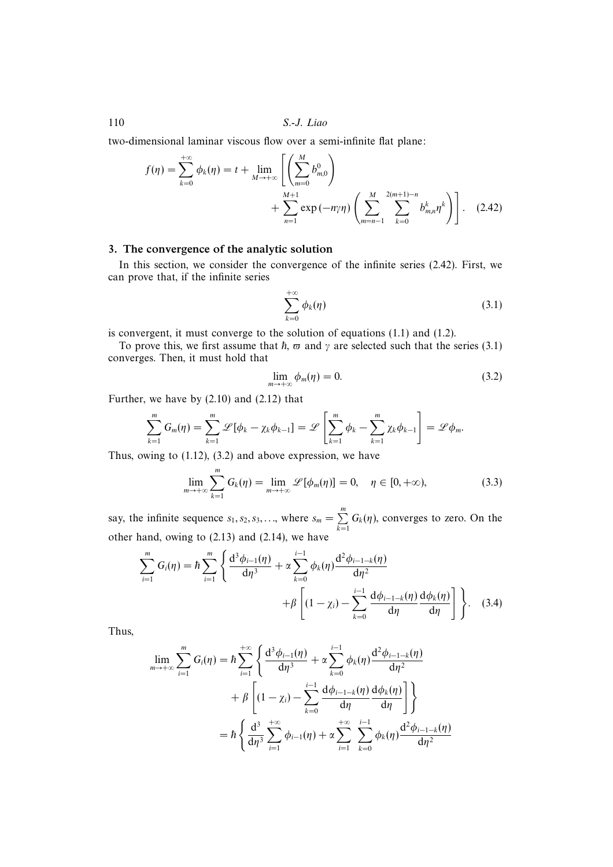two-dimensional laminar viscous flow over a semi-infinite flat plane:

$$
f(\eta) = \sum_{k=0}^{+\infty} \phi_k(\eta) = t + \lim_{M \to +\infty} \left[ \left( \sum_{m=0}^{M} b_{m,0}^0 \right) + \sum_{n=1}^{M+1} \exp(-n\gamma\eta) \left( \sum_{m=n-1}^{M} \sum_{k=0}^{2(m+1)-n} b_{m,n}^k \eta^k \right) \right].
$$
 (2.42)

## 3. The convergence of the analytic solution

In this section, we consider the convergence of the infinite series (2.42). First, we can prove that, if the infinite series

$$
\sum_{k=0}^{+\infty} \phi_k(\eta) \tag{3.1}
$$

is convergent, it must converge to the solution of equations (1.1) and (1.2).

To prove this, we first assume that  $\hbar$ ,  $\varpi$  and  $\gamma$  are selected such that the series (3.1) converges. Then, it must hold that

$$
\lim_{m \to +\infty} \phi_m(\eta) = 0. \tag{3.2}
$$

Further, we have by (2.10) and (2.12) that

$$
\sum_{k=1}^m G_m(\eta) = \sum_{k=1}^m \mathscr{L}[\phi_k - \chi_k \phi_{k-1}] = \mathscr{L}\left[\sum_{k=1}^m \phi_k - \sum_{k=1}^m \chi_k \phi_{k-1}\right] = \mathscr{L}\phi_m.
$$

Thus, owing to (1.12), (3.2) and above expression, we have

$$
\lim_{m \to +\infty} \sum_{k=1}^{m} G_k(\eta) = \lim_{m \to +\infty} \mathcal{L}[\phi_m(\eta)] = 0, \quad \eta \in [0, +\infty), \tag{3.3}
$$

say, the infinite sequence  $s_1, s_2, s_3, \ldots$ , where  $s_m = \sum_{k=1}^m G_k(\eta)$ , converges to zero. On the other hand, owing to (2.13) and (2.14), we have

$$
\sum_{i=1}^{m} G_i(\eta) = \hbar \sum_{i=1}^{m} \left\{ \frac{d^3 \phi_{i-1}(\eta)}{d\eta^3} + \alpha \sum_{k=0}^{i-1} \phi_k(\eta) \frac{d^2 \phi_{i-1-k}(\eta)}{d\eta^2} + \beta \left[ (1 - \chi_i) - \sum_{k=0}^{i-1} \frac{d \phi_{i-1-k}(\eta)}{d\eta} \frac{d\phi_k(\eta)}{d\eta} \right] \right\}.
$$
 (3.4)

Thus,

$$
\lim_{m \to +\infty} \sum_{i=1}^{m} G_i(\eta) = \hbar \sum_{i=1}^{+\infty} \left\{ \frac{d^3 \phi_{i-1}(\eta)}{d\eta^3} + \alpha \sum_{k=0}^{i-1} \phi_k(\eta) \frac{d^2 \phi_{i-1-k}(\eta)}{d\eta^2} + \beta \left[ (1 - \chi_i) - \sum_{k=0}^{i-1} \frac{d\phi_{i-1-k}(\eta)}{d\eta} \frac{d\phi_k(\eta)}{d\eta} \right] \right\}
$$

$$
= \hbar \left\{ \frac{d^3}{d\eta^3} \sum_{i=1}^{+\infty} \phi_{i-1}(\eta) + \alpha \sum_{i=1}^{+\infty} \sum_{k=0}^{i-1} \phi_k(\eta) \frac{d^2 \phi_{i-1-k}(\eta)}{d\eta^2} \right\}
$$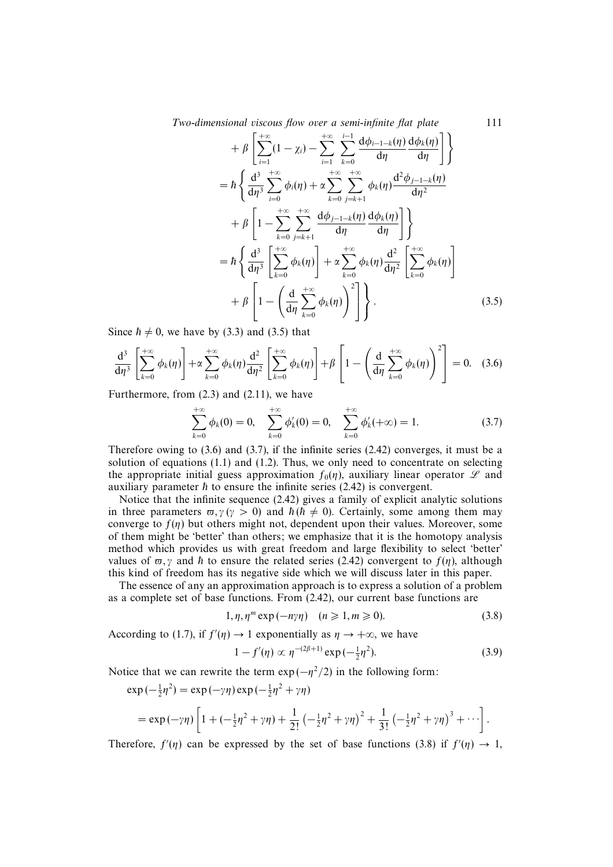Two-dimensional viscous flow over a semi-infinite flat plate 111

$$
+\beta \left[\sum_{i=1}^{+\infty} (1 - \chi_i) - \sum_{i=1}^{+\infty} \sum_{k=0}^{i-1} \frac{d\phi_{i-1-k}(\eta)}{d\eta} \frac{d\phi_k(\eta)}{d\eta}\right]\n= \hbar \left\{\frac{d^3}{d\eta^3} \sum_{i=0}^{+\infty} \phi_i(\eta) + \alpha \sum_{k=0}^{+\infty} \sum_{j=k+1}^{+\infty} \phi_k(\eta) \frac{d^2\phi_{j-1-k}(\eta)}{d\eta^2} + \beta \left[1 - \sum_{k=0}^{+\infty} \sum_{j=k+1}^{+\infty} \frac{d\phi_{j-1-k}(\eta)}{d\eta} \frac{d\phi_k(\eta)}{d\eta}\right]\n\right\}\n= \hbar \left\{\frac{d^3}{d\eta^3} \left[\sum_{k=0}^{+\infty} \phi_k(\eta)\right] + \alpha \sum_{k=0}^{+\infty} \phi_k(\eta) \frac{d^2}{d\eta^2} \left[\sum_{k=0}^{+\infty} \phi_k(\eta)\right] + \beta \left[1 - \left(\frac{d}{d\eta} \sum_{k=0}^{+\infty} \phi_k(\eta)\right)^2\right]\right\}.
$$
(3.5)

Since  $\hbar \neq 0$ , we have by (3.3) and (3.5) that

$$
\frac{\mathrm{d}^3}{\mathrm{d}\eta^3} \left[ \sum_{k=0}^{+\infty} \phi_k(\eta) \right] + \alpha \sum_{k=0}^{+\infty} \phi_k(\eta) \frac{\mathrm{d}^2}{\mathrm{d}\eta^2} \left[ \sum_{k=0}^{+\infty} \phi_k(\eta) \right] + \beta \left[ 1 - \left( \frac{\mathrm{d}}{\mathrm{d}\eta} \sum_{k=0}^{+\infty} \phi_k(\eta) \right)^2 \right] = 0. \quad (3.6)
$$

Furthermore, from (2.3) and (2.11), we have

$$
\sum_{k=0}^{+\infty} \phi_k(0) = 0, \quad \sum_{k=0}^{+\infty} \phi'_k(0) = 0, \quad \sum_{k=0}^{+\infty} \phi'_k(+\infty) = 1.
$$
 (3.7)

Therefore owing to (3.6) and (3.7), if the infinite series (2.42) converges, it must be a solution of equations  $(1.1)$  and  $(1.2)$ . Thus, we only need to concentrate on selecting the appropriate initial guess approximation  $f_0(\eta)$ , auxiliary linear operator  $\mathscr L$  and auxiliary parameter  $\hbar$  to ensure the infinite series (2.42) is convergent.

Notice that the infinite sequence (2.42) gives a family of explicit analytic solutions in three parameters  $\pi$ ,  $\gamma$  ( $\gamma > 0$ ) and  $\hbar$  ( $\hbar \neq 0$ ). Certainly, some among them may converge to  $f(\eta)$  but others might not, dependent upon their values. Moreover, some of them might be 'better' than others; we emphasize that it is the homotopy analysis method which provides us with great freedom and large flexibility to select 'better' values of  $\pi$ , *γ* and  $\hbar$  to ensure the related series (2.42) convergent to  $f(\eta)$ , although this kind of freedom has its negative side which we will discuss later in this paper.

The essence of any an approximation approach is to express a solution of a problem as a complete set of base functions. From (2.42), our current base functions are

$$
1, \eta, \eta^m \exp(-n\gamma\eta) \quad (n \geqslant 1, m \geqslant 0). \tag{3.8}
$$

According to (1.7), if  $f'(\eta) \to 1$  exponentially as  $\eta \to +\infty$ , we have

$$
1 - f'(\eta) \propto \eta^{-(2\beta + 1)} \exp(-\frac{1}{2}\eta^2). \tag{3.9}
$$

Notice that we can rewrite the term  $\exp(-\eta^2/2)$  in the following form:

$$
\exp(-\frac{1}{2}\eta^2) = \exp(-\gamma\eta)\exp(-\frac{1}{2}\eta^2 + \gamma\eta)
$$
  
=  $\exp(-\gamma\eta)\left[1 + (-\frac{1}{2}\eta^2 + \gamma\eta) + \frac{1}{2!}(-\frac{1}{2}\eta^2 + \gamma\eta)^2 + \frac{1}{3!}(-\frac{1}{2}\eta^2 + \gamma\eta)^3 + \cdots\right].$ 

Therefore,  $f'(\eta)$  can be expressed by the set of base functions (3.8) if  $f'(\eta) \to 1$ ,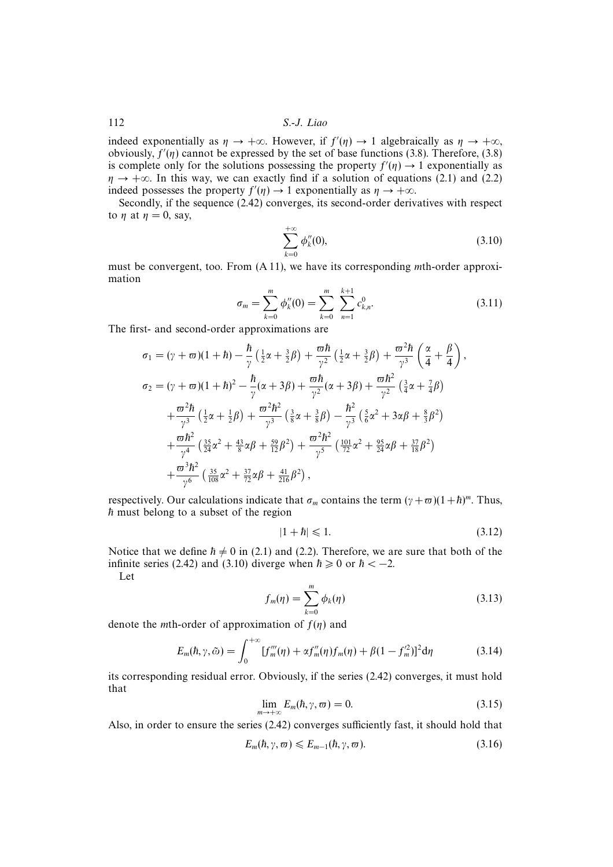indeed exponentially as  $\eta \to +\infty$ . However, if  $f'(\eta) \to 1$  algebraically as  $\eta \to +\infty$ , obviously,  $f'(\eta)$  cannot be expressed by the set of base functions (3.8). Therefore, (3.8) is complete only for the solutions possessing the property  $f'(\eta) \to 1$  exponentially as  $\eta \rightarrow +\infty$ . In this way, we can exactly find if a solution of equations (2.1) and (2.2) indeed possesses the property  $f'(\eta) \to 1$  exponentially as  $\eta \to +\infty$ .

Secondly, if the sequence (2.42) converges, its second-order derivatives with respect to  $\eta$  at  $\eta = 0$ , say,

$$
\sum_{k=0}^{+\infty} \phi_k''(0),\tag{3.10}
$$

must be convergent, too. From (A 11), we have its corresponding mth-order approximation

$$
\sigma_m = \sum_{k=0}^{m} \phi_k''(0) = \sum_{k=0}^{m} \sum_{n=1}^{k+1} c_{k,n}^0.
$$
 (3.11)

The first- and second-order approximations are

$$
\sigma_1 = (\gamma + \varpi)(1 + \hbar) - \frac{\hbar}{\gamma} \left( \frac{1}{2}\alpha + \frac{3}{2}\beta \right) + \frac{\varpi \hbar}{\gamma^2} \left( \frac{1}{2}\alpha + \frac{3}{2}\beta \right) + \frac{\varpi^2 \hbar}{\gamma^3} \left( \frac{\alpha}{4} + \frac{\beta}{4} \right),
$$
  
\n
$$
\sigma_2 = (\gamma + \varpi)(1 + \hbar)^2 - \frac{\hbar}{\gamma}(\alpha + 3\beta) + \frac{\varpi \hbar}{\gamma^2}(\alpha + 3\beta) + \frac{\varpi \hbar^2}{\gamma^2} \left( \frac{3}{4}\alpha + \frac{7}{4}\beta \right)
$$
  
\n
$$
+ \frac{\varpi^2 \hbar}{\gamma^3} \left( \frac{1}{2}\alpha + \frac{1}{2}\beta \right) + \frac{\varpi^2 \hbar^2}{\gamma^3} \left( \frac{3}{8}\alpha + \frac{3}{8}\beta \right) - \frac{\hbar^2}{\gamma^3} \left( \frac{5}{6}\alpha^2 + 3\alpha\beta + \frac{8}{3}\beta^2 \right)
$$
  
\n
$$
+ \frac{\varpi \hbar^2}{\gamma^4} \left( \frac{35}{24}\alpha^2 + \frac{43}{8}\alpha\beta + \frac{59}{12}\beta^2 \right) + \frac{\varpi^2 \hbar^2}{\gamma^5} \left( \frac{101}{72}\alpha^2 + \frac{95}{24}\alpha\beta + \frac{37}{18}\beta^2 \right)
$$
  
\n
$$
+ \frac{\varpi^3 \hbar^2}{\gamma^6} \left( \frac{35}{108}\alpha^2 + \frac{37}{72}\alpha\beta + \frac{41}{216}\beta^2 \right),
$$

respectively. Our calculations indicate that  $\sigma_m$  contains the term  $(\gamma + \varpi)(1+h)^m$ . Thus,  $\hbar$  must belong to a subset of the region

$$
|1 + \hbar| \leqslant 1. \tag{3.12}
$$

Notice that we define  $h \neq 0$  in (2.1) and (2.2). Therefore, we are sure that both of the infinite series (2.42) and (3.10) diverge when  $\hbar \ge 0$  or  $\hbar < -2$ .

Let

$$
f_m(\eta) = \sum_{k=0}^m \phi_k(\eta) \tag{3.13}
$$

denote the *m*th-order of approximation of  $f(\eta)$  and

$$
E_m(\hbar, \gamma, \tilde{\omega}) = \int_0^{+\infty} [f_m'''(\eta) + \alpha f_m''(\eta) f_m(\eta) + \beta (1 - f_m'^2)]^2 d\eta
$$
 (3.14)

its corresponding residual error. Obviously, if the series (2.42) converges, it must hold that

$$
\lim_{m \to +\infty} E_m(\hbar, \gamma, \varpi) = 0. \tag{3.15}
$$

Also, in order to ensure the series (2.42) converges sufficiently fast, it should hold that

$$
E_m(\hbar, \gamma, \varpi) \leqslant E_{m-1}(\hbar, \gamma, \varpi). \tag{3.16}
$$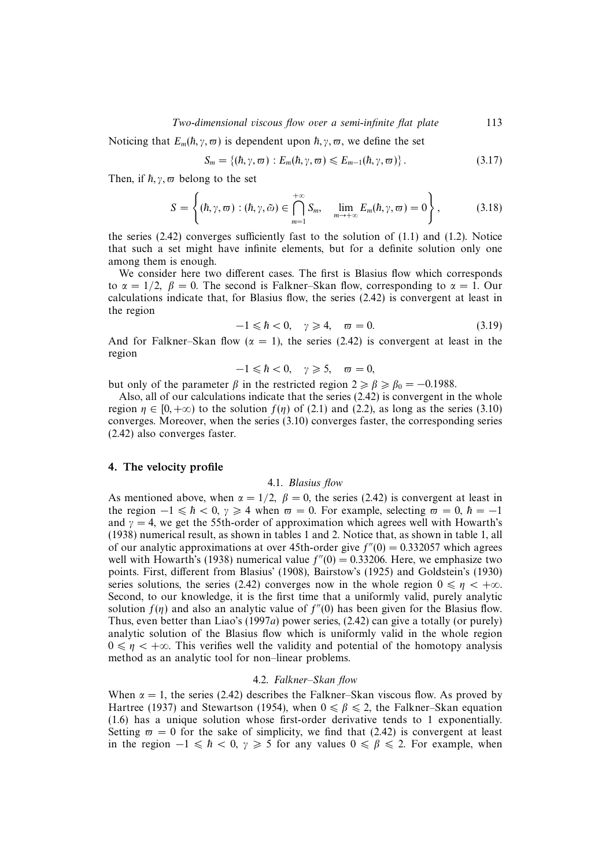## Two-dimensional viscous flow over a semi-infinite flat plate 113

Noticing that  $E_m(h, \gamma, \varpi)$  is dependent upon  $\hbar, \gamma, \varpi$ , we define the set

$$
S_m = \{(\hbar, \gamma, \varpi) : E_m(\hbar, \gamma, \varpi) \leqslant E_{m-1}(\hbar, \gamma, \varpi)\}.
$$
\n(3.17)

Then, if  $\hbar, \gamma, \varpi$  belong to the set

$$
S = \left\{ (\hbar, \gamma, \varpi) : (\hbar, \gamma, \tilde{\omega}) \in \bigcap_{m=1}^{+\infty} S_m, \quad \lim_{m \to +\infty} E_m(\hbar, \gamma, \varpi) = 0 \right\},
$$
 (3.18)

the series  $(2.42)$  converges sufficiently fast to the solution of  $(1.1)$  and  $(1.2)$ . Notice that such a set might have infinite elements, but for a definite solution only one among them is enough.

We consider here two different cases. The first is Blasius flow which corresponds to  $\alpha = 1/2$ ,  $\beta = 0$ . The second is Falkner–Skan flow, corresponding to  $\alpha = 1$ . Our calculations indicate that, for Blasius flow, the series (2.42) is convergent at least in the region

$$
-1 \leq \hbar < 0, \quad \gamma \geqslant 4, \quad \varpi = 0. \tag{3.19}
$$

And for Falkner–Skan flow ( $\alpha = 1$ ), the series (2.42) is convergent at least in the region

$$
-1 \leq \hbar < 0, \quad \gamma \geqslant 5, \quad \varpi = 0,
$$

but only of the parameter  $\beta$  in the restricted region  $2 \ge \beta \ge \beta_0 = -0.1988$ .

Also, all of our calculations indicate that the series (2.42) is convergent in the whole region  $\eta \in [0, +\infty)$  to the solution  $f(\eta)$  of (2.1) and (2.2), as long as the series (3.10) converges. Moreover, when the series (3.10) converges faster, the corresponding series (2.42) also converges faster.

## 4. The velocity profile

#### 4.1. Blasius flow

As mentioned above, when  $\alpha = 1/2$ ,  $\beta = 0$ , the series (2.42) is convergent at least in the region  $-1 \le h < 0$ ,  $\gamma \ge 4$  when  $\varpi = 0$ . For example, selecting  $\varpi = 0$ ,  $\hbar = -1$ and  $\gamma = 4$ , we get the 55th-order of approximation which agrees well with Howarth's (1938) numerical result, as shown in tables 1 and 2. Notice that, as shown in table 1, all of our analytic approximations at over 45th-order give  $f''(0) = 0.332057$  which agrees well with Howarth's (1938) numerical value  $f''(0) = 0.33206$ . Here, we emphasize two points. First, different from Blasius' (1908), Bairstow's (1925) and Goldstein's (1930) series solutions, the series (2.42) converges now in the whole region  $0 \le \eta < +\infty$ . Second, to our knowledge, it is the first time that a uniformly valid, purely analytic solution  $f(\eta)$  and also an analytic value of  $f''(0)$  has been given for the Blasius flow. Thus, even better than Liao's (1997a) power series, (2.42) can give a totally (or purely) analytic solution of the Blasius flow which is uniformly valid in the whole region  $0 \le \eta < +\infty$ . This verifies well the validity and potential of the homotopy analysis method as an analytic tool for non–linear problems.

#### 4.2. Falkner–Skan flow

When  $\alpha = 1$ , the series (2.42) describes the Falkner–Skan viscous flow. As proved by Hartree (1937) and Stewartson (1954), when  $0 \le \beta \le 2$ , the Falkner–Skan equation (1.6) has a unique solution whose first-order derivative tends to 1 exponentially. Setting  $\varpi = 0$  for the sake of simplicity, we find that (2.42) is convergent at least in the region  $-1 \le h < 0$ ,  $\gamma \ge 5$  for any values  $0 \le \beta \le 2$ . For example, when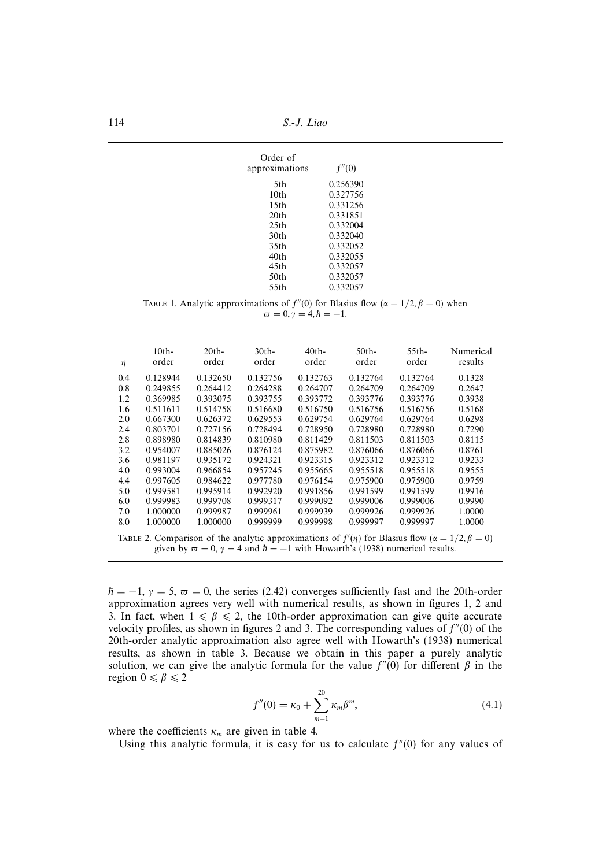| Order of<br>approximations | f''(0)   |
|----------------------------|----------|
| 5th                        | 0.256390 |
| 10 <sub>th</sub>           | 0.327756 |
| 15 <sub>th</sub>           | 0.331256 |
| 20 <sub>th</sub>           | 0.331851 |
| 25th                       | 0.332004 |
| 30th                       | 0.332040 |
| 35th                       | 0.332052 |
| 40th                       | 0.332055 |
| 45th                       | 0.332057 |
| 50th                       | 0.332057 |
| 55th                       | 0.332057 |

TABLE 1. Analytic approximations of  $f''(0)$  for Blasius flow ( $\alpha = 1/2, \beta = 0$ ) when  $\bar{\omega} = 0, \bar{\gamma} = 4, \bar{h} = -1.$ 

| η                                                                                                               | 10 <sub>th</sub><br>order | 20 <sub>th</sub><br>order | 30 <sub>th</sub><br>order | 40th-<br>order | 50 <sub>th</sub><br>order | $55th-$<br>order | Numerical<br>results |
|-----------------------------------------------------------------------------------------------------------------|---------------------------|---------------------------|---------------------------|----------------|---------------------------|------------------|----------------------|
| 0.4                                                                                                             | 0.128944                  | 0.132650                  | 0.132756                  | 0.132763       | 0.132764                  | 0.132764         | 0.1328               |
| 0.8                                                                                                             | 0.249855                  | 0.264412                  | 0.264288                  | 0.264707       | 0.264709                  | 0.264709         | 0.2647               |
| 1.2                                                                                                             | 0.369985                  | 0.393075                  | 0.393755                  | 0.393772       | 0.393776                  | 0.393776         | 0.3938               |
| 1.6                                                                                                             | 0.511611                  | 0.514758                  | 0.516680                  | 0.516750       | 0.516756                  | 0.516756         | 0.5168               |
| 2.0                                                                                                             | 0.667300                  | 0.626372                  | 0.629553                  | 0.629754       | 0.629764                  | 0.629764         | 0.6298               |
| 2.4                                                                                                             | 0.803701                  | 0.727156                  | 0.728494                  | 0.728950       | 0.728980                  | 0.728980         | 0.7290               |
| 2.8                                                                                                             | 0.898980                  | 0.814839                  | 0.810980                  | 0.811429       | 0.811503                  | 0.811503         | 0.8115               |
| 3.2                                                                                                             | 0.954007                  | 0.885026                  | 0.876124                  | 0.875982       | 0.876066                  | 0.876066         | 0.8761               |
| 3.6                                                                                                             | 0.981197                  | 0.935172                  | 0.924321                  | 0.923315       | 0.923312                  | 0.923312         | 0.9233               |
| 4.0                                                                                                             | 0.993004                  | 0.966854                  | 0.957245                  | 0.955665       | 0.955518                  | 0.955518         | 0.9555               |
| 4.4                                                                                                             | 0.997605                  | 0.984622                  | 0.977780                  | 0.976154       | 0.975900                  | 0.975900         | 0.9759               |
| 5.0                                                                                                             | 0.999581                  | 0.995914                  | 0.992920                  | 0.991856       | 0.991599                  | 0.991599         | 0.9916               |
| 6.0                                                                                                             | 0.999983                  | 0.999708                  | 0.999317                  | 0.999092       | 0.999006                  | 0.999006         | 0.9990               |
| 7.0                                                                                                             | 1.000000                  | 0.999987                  | 0.999961                  | 0.999939       | 0.999926                  | 0.999926         | 1.0000               |
| 8.0                                                                                                             | 1.000000                  | 1.000000                  | 0.999999                  | 0.999998       | 0.999997                  | 0.999997         | 1.0000               |
| TABLE 2. Comparison of the analytic approximations of $f'(\eta)$ for Blasius flow ( $\alpha = 1/2, \beta = 0$ ) |                           |                           |                           |                |                           |                  |                      |

given by  $\omega = 0$ ,  $\gamma = 4$  and  $\hbar = -1$  with Howarth's (1938) numerical results.

 $h = -1$ ,  $\gamma = 5$ ,  $\varpi = 0$ , the series (2.42) converges sufficiently fast and the 20th-order approximation agrees very well with numerical results, as shown in figures 1, 2 and 3. In fact, when  $1 \le \beta \le 2$ , the 10th-order approximation can give quite accurate velocity profiles, as shown in figures 2 and 3. The corresponding values of  $f''(0)$  of the 20th-order analytic approximation also agree well with Howarth's (1938) numerical results, as shown in table 3. Because we obtain in this paper a purely analytic solution, we can give the analytic formula for the value  $f''(0)$  for different  $\beta$  in the region  $0 \le \beta \le 2$ 

$$
f''(0) = \kappa_0 + \sum_{m=1}^{20} \kappa_m \beta^m,
$$
\n(4.1)

where the coefficients  $\kappa_m$  are given in table 4.

Using this analytic formula, it is easy for us to calculate  $f''(0)$  for any values of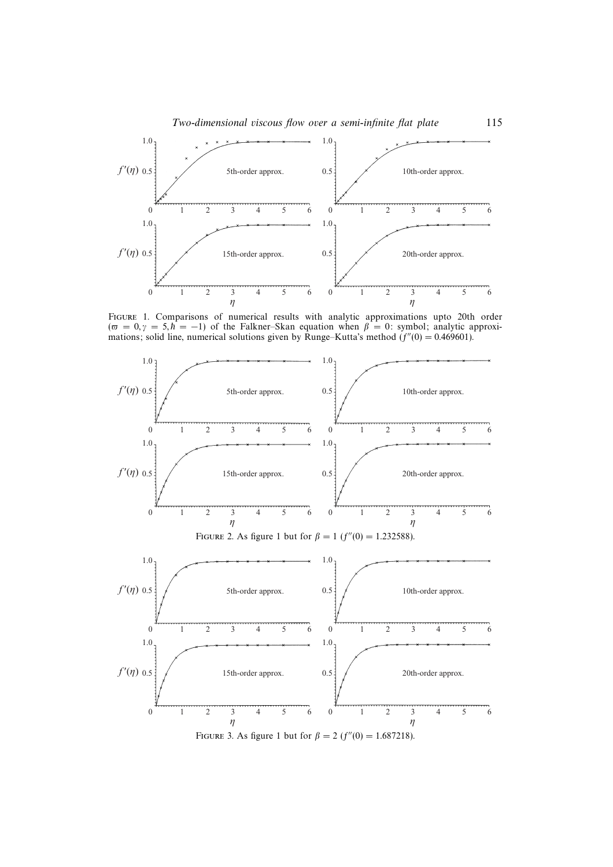



Figure 1. Comparisons of numerical results with analytic approximations upto 20th order  $(\bar{\sigma} = 0, \gamma = 5, \bar{h} = -1)$  of the Falkner–Skan equation when  $\beta = 0$ : symbol; analytic approximations; solid line, numerical solutions given by Runge–Kutta's method  $(f''(0) = 0.469601)$ .

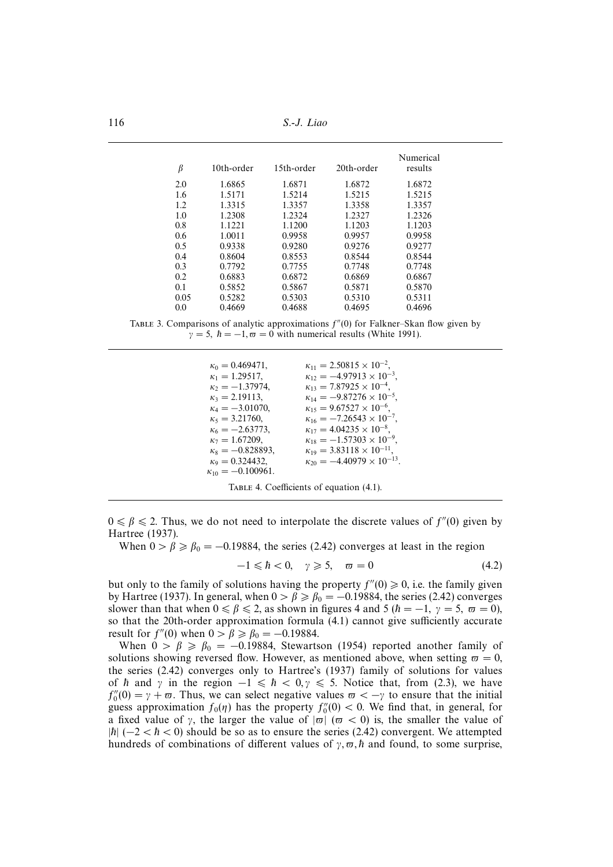116 S.-J. Liao

| $\beta$ | 10th-order | 15th-order | 20th-order | Numerical<br>results |
|---------|------------|------------|------------|----------------------|
| 2.0     | 1.6865     | 1.6871     | 1.6872     | 1.6872               |
| 1.6     | 1.5171     | 1.5214     | 1.5215     | 1.5215               |
| 1.2     | 1.3315     | 1.3357     | 1.3358     | 1.3357               |
| 1.0     | 1.2308     | 1.2324     | 1.2327     | 1.2326               |
| 0.8     | 1.1221     | 1.1200     | 1.1203     | 1.1203               |
| 0.6     | 1.0011     | 0.9958     | 0.9957     | 0.9958               |
| 0.5     | 0.9338     | 0.9280     | 0.9276     | 0.9277               |
| 0.4     | 0.8604     | 0.8553     | 0.8544     | 0.8544               |
| 0.3     | 0.7792     | 0.7755     | 0.7748     | 0.7748               |
| 0.2     | 0.6883     | 0.6872     | 0.6869     | 0.6867               |
| 0.1     | 0.5852     | 0.5867     | 0.5871     | 0.5870               |
| 0.05    | 0.5282     | 0.5303     | 0.5310     | 0.5311               |
| 0.0     | 0.4669     | 0.4688     | 0.4695     | 0.4696               |

TABLE 3. Comparisons of analytic approximations  $f''(0)$  for Falkner–Skan flow given by  $\gamma = 5$ ,  $\hbar = -1$ ,  $\varpi = 0$  with numerical results (White 1991).

 $\kappa_0 = 0.469471,$   $\kappa_{11} = 2.50815 \times 10^{-2},$   $\kappa_{12} = -4.97913 \times 10^{-2}$  $\kappa_1 = 1.29517,$   $\kappa_{12} = -4.97913 \times 10^{-3},$ <br>  $\kappa_{2} = -1.37974,$   $\kappa_{13} = 7.87925 \times 10^{-4},$  $\kappa_2 = -1.37974,$   $\kappa_{13} = 7.87925 \times 10^{-4},$   $\kappa_{14} = -9.87276 \times 10^{-5}$  $\kappa_3 = 2.19113,$   $\kappa_{14} = -9.87276 \times 10^{-5}$ <br>  $\kappa_4 = -3.01070,$   $\kappa_{15} = 9.67527 \times 10^{-6}$ ,  $\kappa_{15} = 9.67527 \times 10^{-6}$ ,  $\kappa_5 = 3.21760,$   $\kappa_{16} = -7.26543 \times 10^{-7},$   $\kappa_6 = -2.63773,$   $\kappa_{17} = 4.04235 \times 10^{-8},$  $\kappa_6 = -2.63773,$   $\kappa_{17} = 4.04235 \times 10^{-8},$   $\kappa_{18} = -1.57303 \times 10^{-8}$  $\kappa_7 = 1.67209,$ <br>  $\kappa_8 = -0.828893,$ <br>  $\kappa_{19} = 3.83118 \times 10^{-11},$  $\kappa_8 = -0.828893,$   $\kappa_{19} = 3.83118 \times 10^{-11},$   $\kappa_{20} = -4.40979 \times 10^{-1}$  $\kappa_{20} = -4.40979 \times 10^{-13}.$  $\kappa_{10} = -0.100961.$ TABLE 4. Coefficients of equation (4.1).

 $0 \le \beta \le 2$ . Thus, we do not need to interpolate the discrete values of  $f''(0)$  given by Hartree (1937).

When  $0 > \beta \ge \beta_0 = -0.19884$ , the series (2.42) converges at least in the region

$$
-1 \leq \hbar < 0, \quad \gamma \geqslant 5, \quad \varpi = 0 \tag{4.2}
$$

but only to the family of solutions having the property  $f''(0) \geq 0$ , i.e. the family given by Hartree (1937). In general, when  $0 > \beta \ge \beta_0 = -0.19884$ , the series (2.42) converges slower than that when  $0 \le \beta \le 2$ , as shown in figures 4 and 5  $(h = -1, \gamma = 5, \omega = 0)$ , so that the 20th-order approximation formula (4.1) cannot give sufficiently accurate result for  $f''(0)$  when  $0 > \beta \ge \beta_0 = -0.19884$ .

When  $0 > \beta \ge \beta_0 = -0.19884$ , Stewartson (1954) reported another family of solutions showing reversed flow. However, as mentioned above, when setting  $\omega = 0$ , the series (2.42) converges only to Hartree's (1937) family of solutions for values of  $h$  and  $\gamma$  in the region  $-1 \le h \le 0, \gamma \le 5$ . Notice that, from (2.3), we have  $f_0''(0) = \gamma + \varpi$ . Thus, we can select negative values  $\varpi < -\gamma$  to ensure that the initial guess approximation  $f_0(\eta)$  has the property  $f_0''(0) < 0$ . We find that, in general, for a fixed value of  $\gamma$ , the larger the value of  $|\varpi|$  ( $\varpi < 0$ ) is, the smaller the value of  $|h|(-2 < h < 0)$  should be so as to ensure the series (2.42) convergent. We attempted hundreds of combinations of different values of  $\gamma$ ,  $\pi$ ,  $\hbar$  and found, to some surprise,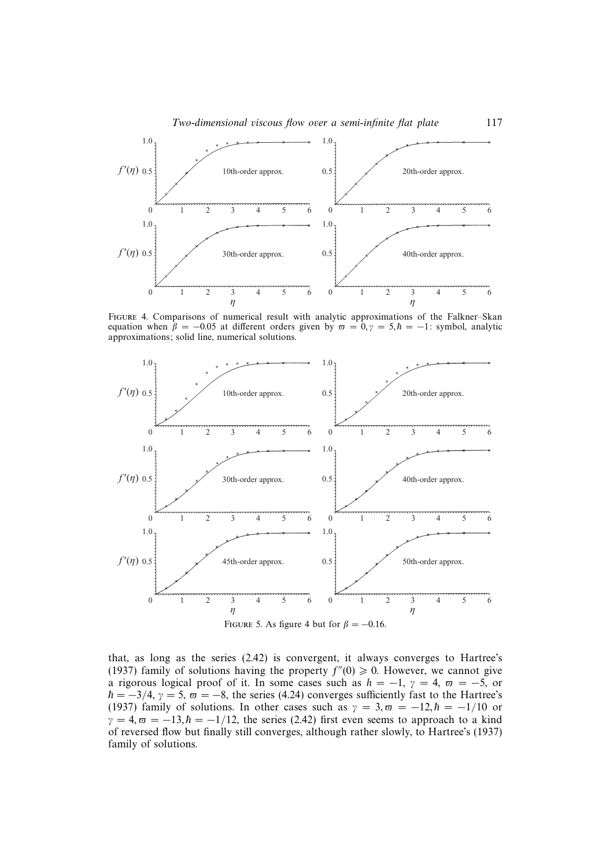

Figure 4. Comparisons of numerical result with analytic approximations of the Falkner–Skan equation when  $\beta = -0.05$  at different orders given by  $\varpi = 0, \gamma = 5, \hbar = -1$ : symbol, analytic approximations; solid line, numerical solutions.



that, as long as the series (2.42) is convergent, it always converges to Hartree's (1937) family of solutions having the property  $f''(0) \ge 0$ . However, we cannot give a rigorous logical proof of it. In some cases such as  $h = -1$ ,  $\gamma = 4$ ,  $\varpi = -5$ , or  $\hbar = -3/4$ ,  $\gamma = 5$ ,  $\varpi = -8$ , the series (4.24) converges sufficiently fast to the Hartree's (1937) family of solutions. In other cases such as  $\gamma = 3, \bar{\omega} = -12, \hbar = -1/10$  or  $\gamma = 4, \omega = -13, \hbar = -1/12$ , the series (2.42) first even seems to approach to a kind of reversed flow but finally still converges, although rather slowly, to Hartree's (1937) family of solutions.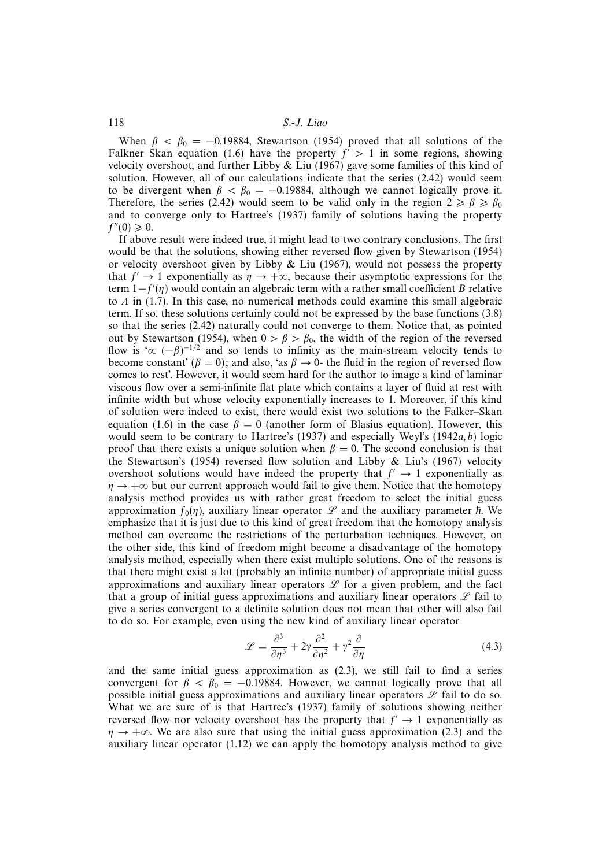When  $\beta < \beta_0 = -0.19884$ , Stewartson (1954) proved that all solutions of the Falkner–Skan equation (1.6) have the property  $f' > 1$  in some regions, showing velocity overshoot, and further Libby  $& Liu$  (1967) gave some families of this kind of solution. However, all of our calculations indicate that the series (2.42) would seem to be divergent when  $\beta < \beta_0 = -0.19884$ , although we cannot logically prove it. Therefore, the series (2.42) would seem to be valid only in the region  $2 \geq \beta \geq \beta_0$ and to converge only to Hartree's (1937) family of solutions having the property  $f''(0) \geq 0.$ 

If above result were indeed true, it might lead to two contrary conclusions. The first would be that the solutions, showing either reversed flow given by Stewartson (1954) or velocity overshoot given by Libby  $\&$  Liu (1967), would not possess the property that  $f' \rightarrow 1$  exponentially as  $\eta \rightarrow +\infty$ , because their asymptotic expressions for the term  $1-f'(\eta)$  would contain an algebraic term with a rather small coefficient B relative to A in (1.7). In this case, no numerical methods could examine this small algebraic term. If so, these solutions certainly could not be expressed by the base functions (3.8) so that the series (2.42) naturally could not converge to them. Notice that, as pointed out by Stewartson (1954), when  $0 > \beta > \beta_0$ , the width of the region of the reversed flow is ' $\propto (-\beta)^{-1/2}$  and so tends to infinity as the main-stream velocity tends to become constant' ( $\beta = 0$ ); and also, 'as  $\beta \rightarrow 0$ - the fluid in the region of reversed flow comes to rest'. However, it would seem hard for the author to image a kind of laminar viscous flow over a semi-infinite flat plate which contains a layer of fluid at rest with infinite width but whose velocity exponentially increases to 1. Moreover, if this kind of solution were indeed to exist, there would exist two solutions to the Falker–Skan equation (1.6) in the case  $\beta = 0$  (another form of Blasius equation). However, this would seem to be contrary to Hartree's (1937) and especially Weyl's (1942 $a, b$ ) logic proof that there exists a unique solution when  $\beta = 0$ . The second conclusion is that the Stewartson's (1954) reversed flow solution and Libby  $\&$  Liu's (1967) velocity overshoot solutions would have indeed the property that  $f' \rightarrow 1$  exponentially as  $\eta \rightarrow +\infty$  but our current approach would fail to give them. Notice that the homotopy analysis method provides us with rather great freedom to select the initial guess approximation  $f_0(n)$ , auxiliary linear operator  $L$  and the auxiliary parameter  $\hbar$ . We emphasize that it is just due to this kind of great freedom that the homotopy analysis method can overcome the restrictions of the perturbation techniques. However, on the other side, this kind of freedom might become a disadvantage of the homotopy analysis method, especially when there exist multiple solutions. One of the reasons is that there might exist a lot (probably an infinite number) of appropriate initial guess approximations and auxiliary linear operators  $\mathscr L$  for a given problem, and the fact that a group of initial guess approximations and auxiliary linear operators  $\mathscr L$  fail to give a series convergent to a definite solution does not mean that other will also fail to do so. For example, even using the new kind of auxiliary linear operator

$$
\mathcal{L} = \frac{\partial^3}{\partial \eta^3} + 2\gamma \frac{\partial^2}{\partial \eta^2} + \gamma^2 \frac{\partial}{\partial \eta}
$$
(4.3)

and the same initial guess approximation as (2.3), we still fail to find a series convergent for  $\beta < \beta_0 = -0.19884$ . However, we cannot logically prove that all possible initial guess approximations and auxiliary linear operators  $L$  fail to do so. What we are sure of is that Hartree's (1937) family of solutions showing neither reversed flow nor velocity overshoot has the property that  $f' \rightarrow 1$  exponentially as  $\eta \rightarrow +\infty$ . We are also sure that using the initial guess approximation (2.3) and the auxiliary linear operator (1.12) we can apply the homotopy analysis method to give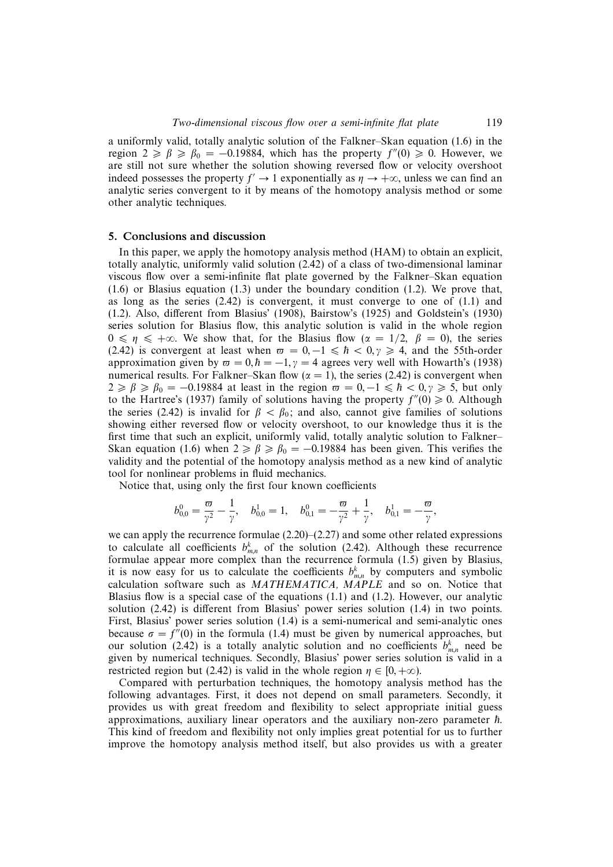a uniformly valid, totally analytic solution of the Falkner–Skan equation (1.6) in the region  $2 \ge \beta \ge \beta_0 = -0.19884$ , which has the property  $f''(0) \ge 0$ . However, we are still not sure whether the solution showing reversed flow or velocity overshoot indeed possesses the property  $f' \rightarrow 1$  exponentially as  $\eta \rightarrow +\infty$ , unless we can find an analytic series convergent to it by means of the homotopy analysis method or some other analytic techniques.

#### 5. Conclusions and discussion

In this paper, we apply the homotopy analysis method (HAM) to obtain an explicit, totally analytic, uniformly valid solution (2.42) of a class of two-dimensional laminar viscous flow over a semi-infinite flat plate governed by the Falkner–Skan equation (1.6) or Blasius equation (1.3) under the boundary condition (1.2). We prove that, as long as the series  $(2.42)$  is convergent, it must converge to one of  $(1.1)$  and (1.2). Also, different from Blasius' (1908), Bairstow's (1925) and Goldstein's (1930) series solution for Blasius flow, this analytic solution is valid in the whole region  $0 \le \eta \le +\infty$ . We show that, for the Blasius flow  $(\alpha = 1/2, \beta = 0)$ , the series (2.42) is convergent at least when  $\varpi = 0, -1 \leq \hbar < 0, \gamma \geq 4$ , and the 55th-order approximation given by  $\omega = 0, \hbar = -1, \gamma = 4$  agrees very well with Howarth's (1938) numerical results. For Falkner–Skan flow ( $\alpha = 1$ ), the series (2.42) is convergent when  $2 \geq \beta \geq \beta_0 = -0.19884$  at least in the region  $\varpi = 0, -1 \leq \hbar < 0, \gamma \geq 5$ , but only to the Hartree's (1937) family of solutions having the property  $f''(0) \ge 0$ . Although the series (2.42) is invalid for  $\beta < \beta_0$ ; and also, cannot give families of solutions showing either reversed flow or velocity overshoot, to our knowledge thus it is the first time that such an explicit, uniformly valid, totally analytic solution to Falkner– Skan equation (1.6) when  $2 \ge \beta \ge \beta_0 = -0.19884$  has been given. This verifies the validity and the potential of the homotopy analysis method as a new kind of analytic tool for nonlinear problems in fluid mechanics.

Notice that, using only the first four known coefficients

$$
b_{0,0}^0=\frac{\varpi}{\gamma^2}-\frac{1}{\gamma},\quad b_{0,0}^1=1,\quad b_{0,1}^0=-\frac{\varpi}{\gamma^2}+\frac{1}{\gamma},\quad b_{0,1}^1=-\frac{\varpi}{\gamma},
$$

we can apply the recurrence formulae  $(2.20)$ – $(2.27)$  and some other related expressions to calculate all coefficients  $b_{m,n}^k$  of the solution (2.42). Although these recurrence formulae appear more complex than the recurrence formula (1.5) given by Blasius, it is now easy for us to calculate the coefficients  $b_{m,n}^k$  by computers and symbolic calculation software such as MATHEMATICA, MAPLE and so on. Notice that Blasius flow is a special case of the equations  $(1.1)$  and  $(1.2)$ . However, our analytic solution (2.42) is different from Blasius' power series solution (1.4) in two points. First, Blasius' power series solution (1.4) is a semi-numerical and semi-analytic ones because  $\sigma = f''(0)$  in the formula (1.4) must be given by numerical approaches, but our solution (2.42) is a totally analytic solution and no coefficients  $b_{m,n}^k$  need be given by numerical techniques. Secondly, Blasius' power series solution is valid in a restricted region but (2.42) is valid in the whole region  $\eta \in [0, +\infty)$ .

Compared with perturbation techniques, the homotopy analysis method has the following advantages. First, it does not depend on small parameters. Secondly, it provides us with great freedom and flexibility to select appropriate initial guess approximations, auxiliary linear operators and the auxiliary non-zero parameter  $\hbar$ . This kind of freedom and flexibility not only implies great potential for us to further improve the homotopy analysis method itself, but also provides us with a greater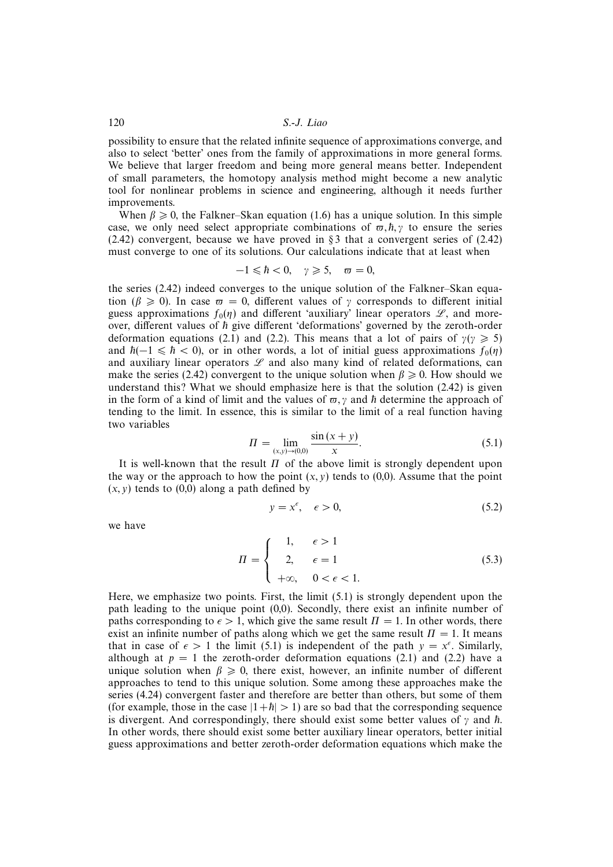possibility to ensure that the related infinite sequence of approximations converge, and also to select 'better' ones from the family of approximations in more general forms. We believe that larger freedom and being more general means better. Independent of small parameters, the homotopy analysis method might become a new analytic tool for nonlinear problems in science and engineering, although it needs further improvements.

When  $\beta \geq 0$ , the Falkner–Skan equation (1.6) has a unique solution. In this simple case, we only need select appropriate combinations of  $\varpi, \hbar, \gamma$  to ensure the series  $(2.42)$  convergent, because we have proved in § 3 that a convergent series of  $(2.42)$ must converge to one of its solutions. Our calculations indicate that at least when

$$
-1 \leq \hbar < 0, \quad \gamma \geqslant 5, \quad \varpi = 0,
$$

the series (2.42) indeed converges to the unique solution of the Falkner–Skan equation ( $\beta \ge 0$ ). In case  $\varpi = 0$ , different values of  $\gamma$  corresponds to different initial guess approximations  $f_0(\eta)$  and different 'auxiliary' linear operators  $\mathscr{L}$ , and moreover, different values of  $h$  give different 'deformations' governed by the zeroth-order deformation equations (2.1) and (2.2). This means that a lot of pairs of  $\gamma(\gamma \geq 5)$ and  $h(-1 \le h < 0)$ , or in other words, a lot of initial guess approximations  $f_0(\eta)$ and auxiliary linear operators  $L$  and also many kind of related deformations, can make the series (2.42) convergent to the unique solution when  $\beta \ge 0$ . How should we understand this? What we should emphasize here is that the solution (2.42) is given in the form of a kind of limit and the values of  $\varpi, \gamma$  and  $\hbar$  determine the approach of tending to the limit. In essence, this is similar to the limit of a real function having two variables

$$
\Pi = \lim_{(x,y)\to(0,0)} \frac{\sin(x+y)}{x}.
$$
\n(5.1)

It is well-known that the result  $\Pi$  of the above limit is strongly dependent upon the way or the approach to how the point  $(x, y)$  tends to  $(0, 0)$ . Assume that the point  $(x, y)$  tends to  $(0,0)$  along a path defined by

$$
y = x^{\epsilon}, \quad \epsilon > 0,\tag{5.2}
$$

we have

$$
\Pi = \begin{cases}\n1, & \epsilon > 1 \\
2, & \epsilon = 1 \\
+\infty, & 0 < \epsilon < 1.\n\end{cases}
$$
\n(5.3)

Here, we emphasize two points. First, the limit (5.1) is strongly dependent upon the path leading to the unique point (0,0). Secondly, there exist an infinite number of paths corresponding to  $\epsilon > 1$ , which give the same result  $\Pi = 1$ . In other words, there exist an infinite number of paths along which we get the same result  $\Pi = 1$ . It means that in case of  $\epsilon > 1$  the limit (5.1) is independent of the path  $y = x^{\epsilon}$ . Similarly, although at  $p = 1$  the zeroth-order deformation equations (2.1) and (2.2) have a unique solution when  $\beta \geq 0$ , there exist, however, an infinite number of different approaches to tend to this unique solution. Some among these approaches make the series (4.24) convergent faster and therefore are better than others, but some of them (for example, those in the case  $|1+\hbar| > 1$ ) are so bad that the corresponding sequence is divergent. And correspondingly, there should exist some better values of  $\gamma$  and  $\hbar$ . In other words, there should exist some better auxiliary linear operators, better initial guess approximations and better zeroth-order deformation equations which make the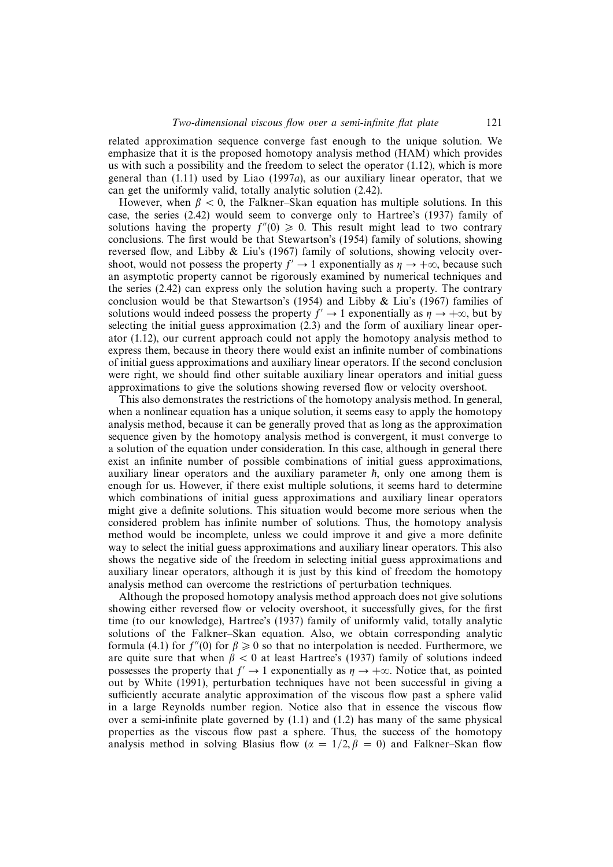related approximation sequence converge fast enough to the unique solution. We emphasize that it is the proposed homotopy analysis method (HAM) which provides us with such a possibility and the freedom to select the operator (1.12), which is more general than  $(1.11)$  used by Liao  $(1997a)$ , as our auxiliary linear operator, that we can get the uniformly valid, totally analytic solution (2.42).

However, when  $\beta$  < 0, the Falkner–Skan equation has multiple solutions. In this case, the series (2.42) would seem to converge only to Hartree's (1937) family of solutions having the property  $f''(0) \ge 0$ . This result might lead to two contrary conclusions. The first would be that Stewartson's (1954) family of solutions, showing reversed flow, and Libby & Liu's (1967) family of solutions, showing velocity overshoot, would not possess the property  $f' \rightarrow 1$  exponentially as  $\eta \rightarrow +\infty$ , because such an asymptotic property cannot be rigorously examined by numerical techniques and the series (2.42) can express only the solution having such a property. The contrary conclusion would be that Stewartson's (1954) and Libby & Liu's (1967) families of solutions would indeed possess the property  $f' \rightarrow 1$  exponentially as  $\eta \rightarrow +\infty$ , but by selecting the initial guess approximation (2.3) and the form of auxiliary linear operator (1.12), our current approach could not apply the homotopy analysis method to express them, because in theory there would exist an infinite number of combinations of initial guess approximations and auxiliary linear operators. If the second conclusion were right, we should find other suitable auxiliary linear operators and initial guess approximations to give the solutions showing reversed flow or velocity overshoot.

This also demonstrates the restrictions of the homotopy analysis method. In general, when a nonlinear equation has a unique solution, it seems easy to apply the homotopy analysis method, because it can be generally proved that as long as the approximation sequence given by the homotopy analysis method is convergent, it must converge to a solution of the equation under consideration. In this case, although in general there exist an infinite number of possible combinations of initial guess approximations, auxiliary linear operators and the auxiliary parameter  $\hbar$ , only one among them is enough for us. However, if there exist multiple solutions, it seems hard to determine which combinations of initial guess approximations and auxiliary linear operators might give a definite solutions. This situation would become more serious when the considered problem has infinite number of solutions. Thus, the homotopy analysis method would be incomplete, unless we could improve it and give a more definite way to select the initial guess approximations and auxiliary linear operators. This also shows the negative side of the freedom in selecting initial guess approximations and auxiliary linear operators, although it is just by this kind of freedom the homotopy analysis method can overcome the restrictions of perturbation techniques.

Although the proposed homotopy analysis method approach does not give solutions showing either reversed flow or velocity overshoot, it successfully gives, for the first time (to our knowledge), Hartree's (1937) family of uniformly valid, totally analytic solutions of the Falkner–Skan equation. Also, we obtain corresponding analytic formula (4.1) for  $f''(0)$  for  $\beta \ge 0$  so that no interpolation is needed. Furthermore, we are quite sure that when  $\beta < 0$  at least Hartree's (1937) family of solutions indeed possesses the property that  $f' \rightarrow 1$  exponentially as  $\eta \rightarrow +\infty$ . Notice that, as pointed out by White (1991), perturbation techniques have not been successful in giving a sufficiently accurate analytic approximation of the viscous flow past a sphere valid in a large Reynolds number region. Notice also that in essence the viscous flow over a semi-infinite plate governed by  $(1.1)$  and  $(1.2)$  has many of the same physical properties as the viscous flow past a sphere. Thus, the success of the homotopy analysis method in solving Blasius flow ( $\alpha = 1/2, \beta = 0$ ) and Falkner–Skan flow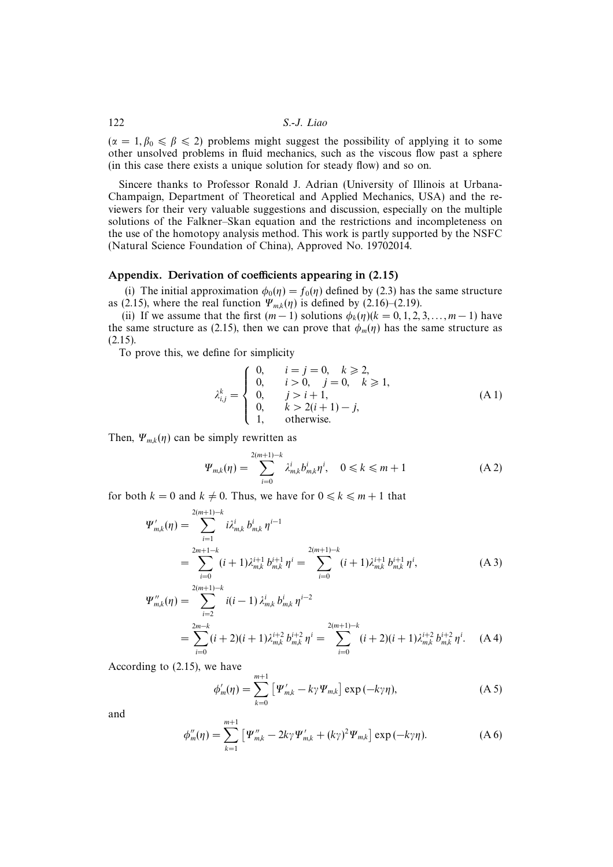$(\alpha = 1, \beta_0 \leq \beta \leq 2)$  problems might suggest the possibility of applying it to some other unsolved problems in fluid mechanics, such as the viscous flow past a sphere (in this case there exists a unique solution for steady flow) and so on.

Sincere thanks to Professor Ronald J. Adrian (University of Illinois at Urbana-Champaign, Department of Theoretical and Applied Mechanics, USA) and the reviewers for their very valuable suggestions and discussion, especially on the multiple solutions of the Falkner–Skan equation and the restrictions and incompleteness on the use of the homotopy analysis method. This work is partly supported by the NSFC (Natural Science Foundation of China), Approved No. 19702014.

## Appendix. Derivation of coefficients appearing in (2.15)

(i) The initial approximation  $\phi_0(\eta) = f_0(\eta)$  defined by (2.3) has the same structure as (2.15), where the real function  $\Psi_{mk}(\eta)$  is defined by (2.16)–(2.19).

(ii) If we assume that the first  $(m-1)$  solutions  $\phi_k(\eta)(k = 0, 1, 2, 3, \dots, m-1)$  have the same structure as (2.15), then we can prove that  $\phi_m(\eta)$  has the same structure as (2.15).

To prove this, we define for simplicity

$$
\lambda_{i,j}^k = \begin{cases}\n0, & i = j = 0, \quad k \ge 2, \\
0, & i > 0, \quad j = 0, \quad k \ge 1, \\
0, & j > i + 1, \\
0, & k > 2(i + 1) - j, \\
1, & \text{otherwise.} \n\end{cases}
$$
\n(A1)

Then,  $\Psi_{mk}(\eta)$  can be simply rewritten as

$$
\Psi_{m,k}(\eta) = \sum_{i=0}^{2(m+1)-k} \lambda_{m,k}^i b_{m,k}^i \eta^i, \quad 0 \le k \le m+1
$$
 (A2)

for both  $k = 0$  and  $k \neq 0$ . Thus, we have for  $0 \le k \le m + 1$  that

$$
\Psi'_{m,k}(\eta) = \sum_{i=1}^{2(m+1)-k} i \lambda_{m,k}^i b_{m,k}^i \eta^{i-1}
$$
  
= 
$$
\sum_{i=0}^{2m+1-k} (i+1) \lambda_{m,k}^{i+1} b_{m,k}^{i+1} \eta^i = \sum_{i=0}^{2(m+1)-k} (i+1) \lambda_{m,k}^{i+1} b_{m,k}^{i+1} \eta^i,
$$
 (A 3)

$$
\Psi''_{m,k}(\eta) = \sum_{i=2}^{2(m+1)-k} i(i-1) \lambda_{m,k}^i b_{m,k}^i \eta^{i-2}
$$
  
= 
$$
\sum_{i=0}^{2m-k} (i+2)(i+1) \lambda_{m,k}^{i+2} b_{m,k}^{i+2} \eta^i = \sum_{i=0}^{2(m+1)-k} (i+2)(i+1) \lambda_{m,k}^{i+2} b_{m,k}^{i+2} \eta^i.
$$
 (A4)

According to (2.15), we have

$$
\phi'_{m}(\eta) = \sum_{k=0}^{m+1} \left[ \Psi'_{m,k} - k\gamma \Psi_{m,k} \right] \exp(-k\gamma \eta), \tag{A 5}
$$

and

$$
\phi''_m(\eta) = \sum_{k=1}^{m+1} \left[ \Psi''_{m,k} - 2k\gamma \Psi'_{m,k} + (k\gamma)^2 \Psi_{m,k} \right] \exp(-k\gamma \eta). \tag{A 6}
$$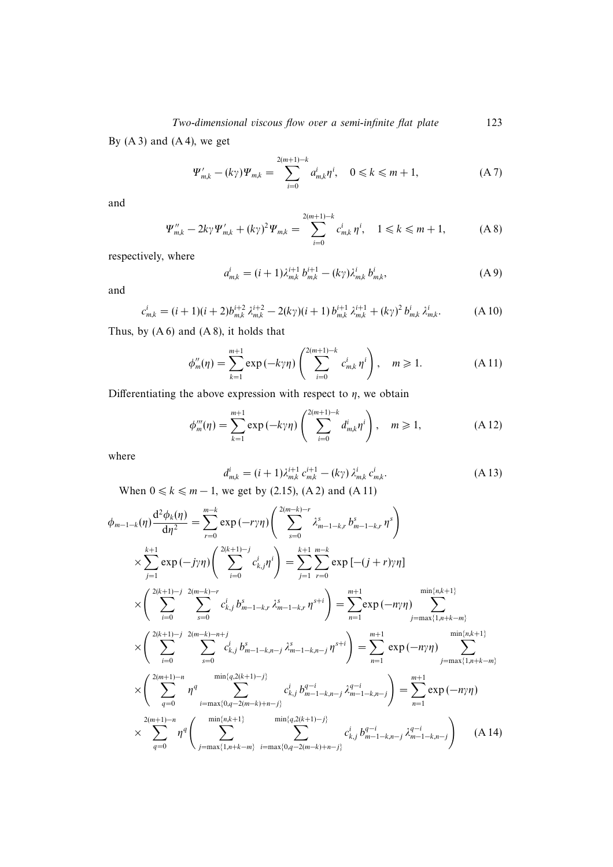By  $(A 3)$  and  $(A 4)$ , we get

$$
\Psi'_{m,k} - (k\gamma)\Psi_{m,k} = \sum_{i=0}^{2(m+1)-k} a_{m,k}^i \eta^i, \quad 0 \le k \le m+1,
$$
 (A 7)

and

$$
\Psi''_{m,k} - 2k\gamma \Psi'_{m,k} + (k\gamma)^2 \Psi_{m,k} = \sum_{i=0}^{2(m+1)-k} c^i_{m,k} \eta^i, \quad 1 \le k \le m+1, \tag{A 8}
$$

respectively, where

$$
a_{m,k}^i = (i+1)\lambda_{m,k}^{i+1} b_{m,k}^{i+1} - (k\gamma)\lambda_{m,k}^i b_{m,k}^i,
$$
 (A 9)

and

$$
c_{m,k}^i = (i+1)(i+2)b_{m,k}^{i+2} \lambda_{m,k}^{i+2} - 2(k\gamma)(i+1) b_{m,k}^{i+1} \lambda_{m,k}^{i+1} + (k\gamma)^2 b_{m,k}^i \lambda_{m,k}^i.
$$
 (A 10)

Thus, by  $(A 6)$  and  $(A 8)$ , it holds that

$$
\phi''_m(\eta) = \sum_{k=1}^{m+1} \exp(-k\gamma\eta) \left( \sum_{i=0}^{2(m+1)-k} c^i_{m,k} \eta^i \right), \quad m \ge 1.
$$
 (A 11)

Differentiating the above expression with respect to  $\eta$ , we obtain

$$
\phi_m^m(\eta) = \sum_{k=1}^{m+1} \exp(-k\gamma\eta) \left( \sum_{i=0}^{2(m+1)-k} d_{m,k}^i \eta^i \right), \quad m \ge 1,
$$
 (A 12)

where

$$
d_{m,k}^i = (i+1)\lambda_{m,k}^{i+1} c_{m,k}^{i+1} - (k\gamma) \lambda_{m,k}^i c_{m,k}^i.
$$
 (A 13)

When  $0 \le k \le m - 1$ , we get by (2.15), (A 2) and (A 11)

$$
\phi_{m-1-k}(\eta) \frac{d^2 \phi_k(\eta)}{d\eta^2} = \sum_{r=0}^{m-k} \exp(-r\gamma \eta) \left( \sum_{s=0}^{2(m-k)-r} \lambda_{m-1-k,r}^s b_{m-1-k,r}^s \eta^s \right)
$$
  
\n
$$
\times \sum_{j=1}^{k+1} \exp(-j\gamma \eta) \left( \sum_{i=0}^{2(k+1)-j} c_{k,j}^i \eta^i \right) = \sum_{j=1}^{k+1} \sum_{r=0}^{m-k} \exp[-(j+r)\gamma \eta]
$$
  
\n
$$
\times \left( \sum_{i=0}^{2(k+1)-j} \sum_{s=0}^{2(m-k)-r} c_{k,j}^i b_{m-1-k,r}^s \lambda_{m-1-k,r}^{s-1} \eta^{s+i} \right) = \sum_{n=1}^{m+1} \exp(-n\gamma \eta) \sum_{j=\max\{1,n+k-m\}}^{\min\{n,k+1\}} \times \left( \sum_{i=0}^{2(k+1)-j} \sum_{s=0}^{2(m-k)-n+j} c_{k,j}^i b_{m-1-k,n-j}^s \lambda_{m-1-k,n-j}^{s-1} \eta^{s+i} \right) = \sum_{n=1}^{m+1} \exp(-n\gamma \eta) \sum_{j=\max\{1,n+k-m\}}^{\min\{n,k+1\}} \times \left( \sum_{q=0}^{2(m+1)-n} \eta^q \sum_{i=\max\{0,q-2(m-k)+n-j\}}^{\min\{q,2(k+1)-j\}} c_{k,j}^i b_{m-1-k,n-j}^{q-i} \lambda_{m-1-k,n-j}^{q-i} \right) = \sum_{n=1}^{m+1} \exp(-n\gamma \eta) \times \sum_{q=0}^{2(m+1)-n} \eta^q \left( \sum_{j=\max\{1,n+k-m\}}^{\min\{n,k+1\}} \sum_{i=\max\{0,q-2(m-k)+n-j\}}^{\min\{q,2(k+1)-j\}} c_{k,j}^i b_{m-1-k,n-j}^{q-i} \lambda_{m-1-k,n-j}^{q-i} \right) \tag{A 14}
$$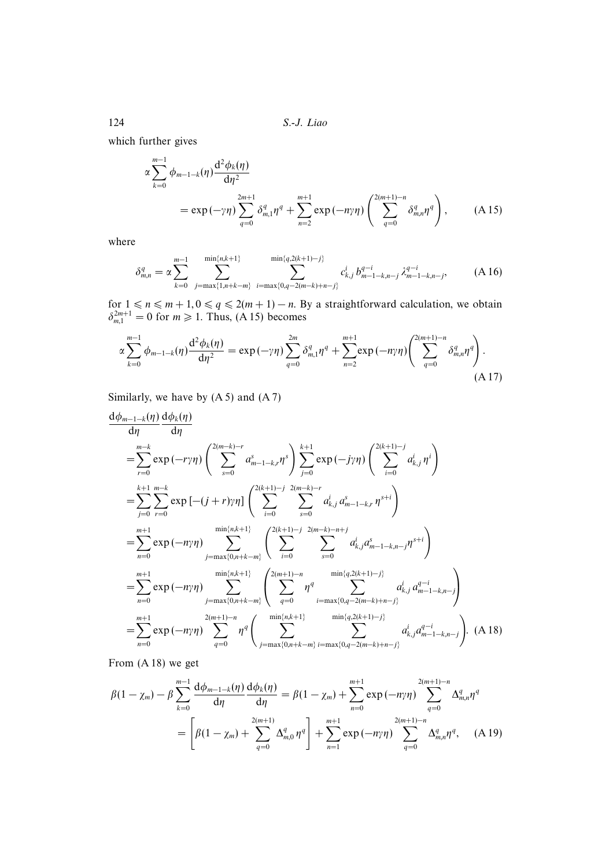which further gives

$$
\alpha \sum_{k=0}^{m-1} \phi_{m-1-k}(\eta) \frac{d^2 \phi_k(\eta)}{d\eta^2} \n= \exp(-\gamma \eta) \sum_{q=0}^{2m+1} \delta_{m,1}^q \eta^q + \sum_{n=2}^{m+1} \exp(-n\gamma \eta) \left( \sum_{q=0}^{2(m+1)-n} \delta_{m,n}^q \eta^q \right), \tag{A.15}
$$

where

$$
\delta_{m,n}^q = \alpha \sum_{k=0}^{m-1} \sum_{j=\max\{1,n+k-m\}}^{\min\{n,k+1\}} \sum_{i=\max\{0,q-2(m-k)+n-j\}}^{\min\{q,2(k+1)-j\}} c_{k,j}^i b_{m-1-k,n-j}^{q-i} \lambda_{m-1-k,n-j}^{q-i}, \qquad (A16)
$$

for  $1 \le n \le m + 1, 0 \le q \le 2(m + 1) - n$ . By a straightforward calculation, we obtain  $\delta_{m,1}^{2m+1} = 0$  for  $m \ge 1$ . Thus, (A 15) becomes

$$
\alpha \sum_{k=0}^{m-1} \phi_{m-1-k}(\eta) \frac{d^2 \phi_k(\eta)}{d\eta^2} = \exp(-\gamma \eta) \sum_{q=0}^{2m} \delta_{m,1}^q \eta^q + \sum_{n=2}^{m+1} \exp(-n\gamma \eta) \left( \sum_{q=0}^{2(m+1)-n} \delta_{m,n}^q \eta^q \right).
$$
\n(A 17)

Similarly, we have by  $(A 5)$  and  $(A 7)$ 

$$
\frac{d\phi_{m-1-k}(\eta)}{d\eta} \frac{d\phi_k(\eta)}{d\eta}
$$
\n
$$
= \sum_{r=0}^{m-k} \exp(-r\gamma\eta) \left( \sum_{s=0}^{2(m-k)-r} a_{m-1-k,r}^s \right) \sum_{j=0}^{k+1} \exp(-j\gamma\eta) \left( \sum_{i=0}^{2(k+1)-j} a_{k,j}^i \eta^i \right)
$$
\n
$$
= \sum_{j=0}^{k+1} \sum_{r=0}^{m-k} \exp\left[ -(j+r)\gamma\eta \right] \left( \sum_{i=0}^{2(k+1)-j} \sum_{s=0}^{2(m-k)-r} a_{k,j}^i a_{m-1-k,r}^s \eta^{s+i} \right)
$$
\n
$$
= \sum_{n=0}^{m+1} \exp(-n\gamma\eta) \sum_{j=\max\{0,n+k-m\}}^{\min\{n,k+1\}} \left( \sum_{i=0}^{2(k+1)-j} \sum_{s=0}^{2(m-k)-n+j} a_{k,j}^i a_{m-1-k,n-j}^s \eta^{s+i} \right)
$$
\n
$$
= \sum_{n=0}^{m+1} \exp(-n\gamma\eta) \sum_{j=\max\{0,n+k-m\}}^{\min\{n,k+1\}} \left( \sum_{q=0}^{2(m+1)-n} \eta^q \sum_{i=\max\{0,q-2(m-k)+n-j\}}^{\min\{q,2(k+1)-j\}} a_{k,j}^i a_{m-1-k,n-j}^{q-i} \right)
$$
\n
$$
= \sum_{n=0}^{m+1} \exp(-n\gamma\eta) \sum_{q=0}^{2(m+1)-n} \eta^q \left( \sum_{j=\max\{0,n+k-m\}}^{\min\{n,k+1\}} \sum_{i=\max\{0,q-2(m-k)+n-j\}}^{\min\{q,2(k+1)-j\}} a_{k,j}^i a_{m-1-k,n-j}^{q-i} \right).
$$
\n(A 18)

From (A 18) we get

$$
\beta(1 - \chi_m) - \beta \sum_{k=0}^{m-1} \frac{d\phi_{m-1-k}(\eta)}{d\eta} \frac{d\phi_k(\eta)}{d\eta} = \beta(1 - \chi_m) + \sum_{n=0}^{m+1} \exp(-n\gamma\eta) \sum_{q=0}^{2(m+1)-n} \Delta_{m,n}^q \eta^q
$$

$$
= \left[ \beta(1 - \chi_m) + \sum_{q=0}^{2(m+1)} \Delta_{m,0}^q \eta^q \right] + \sum_{n=1}^{m+1} \exp(-n\gamma\eta) \sum_{q=0}^{2(m+1)-n} \Delta_{m,n}^q \eta^q, \quad (A \ 19)
$$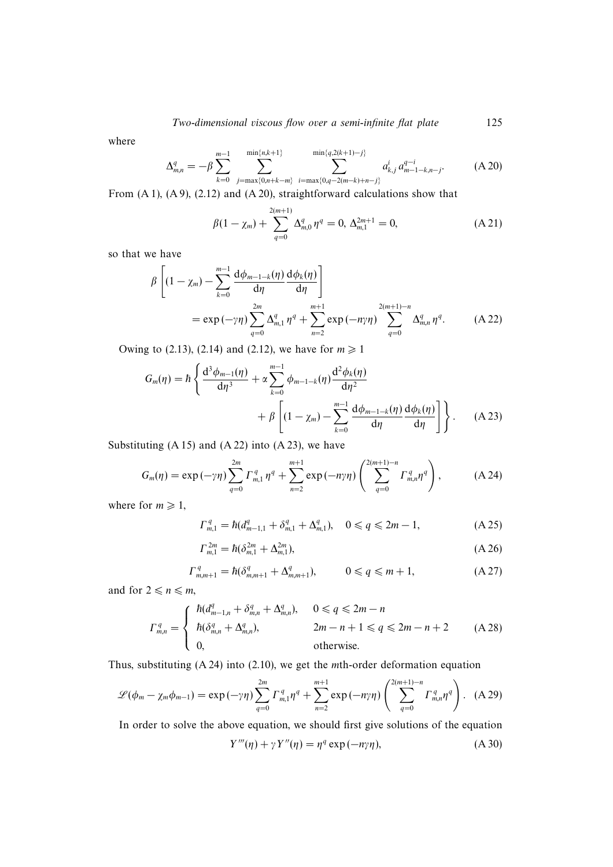where

$$
\Delta_{m,n}^q = -\beta \sum_{k=0}^{m-1} \sum_{j=\max\{0,n+k-m\}}^{\min\{n,k+1\}} \sum_{i=\max\{0,q-2(m-k)+n-j\}}^{\min\{q,2(k+1)-j\}} a_{k,j}^i a_{m-1-k,n-j}^{q-i}.\tag{A.20}
$$

From (A 1), (A 9), (2.12) and (A 20), straightforward calculations show that

$$
\beta(1 - \chi_m) + \sum_{q=0}^{2(m+1)} \Delta_{m,0}^q \eta^q = 0, \, \Delta_{m,1}^{2m+1} = 0,\tag{A.21}
$$

so that we have

$$
\beta \left[ (1 - \chi_m) - \sum_{k=0}^{m-1} \frac{d\phi_{m-1-k}(\eta)}{d\eta} \frac{d\phi_k(\eta)}{d\eta} \right]
$$
  
=  $\exp(-\gamma \eta) \sum_{q=0}^{2m} \Delta_{m,1}^q \eta^q + \sum_{n=2}^{m+1} \exp(-n\gamma \eta) \sum_{q=0}^{2(m+1)-n} \Delta_{m,n}^q \eta^q.$  (A 22)

Owing to (2.13), (2.14) and (2.12), we have for  $m \ge 1$ 

$$
G_m(\eta) = \hbar \left\{ \frac{d^3 \phi_{m-1}(\eta)}{d\eta^3} + \alpha \sum_{k=0}^{m-1} \phi_{m-1-k}(\eta) \frac{d^2 \phi_k(\eta)}{d\eta^2} + \beta \left[ (1 - \chi_m) - \sum_{k=0}^{m-1} \frac{d \phi_{m-1-k}(\eta)}{d\eta} \frac{d\phi_k(\eta)}{d\eta} \right] \right\}.
$$
 (A 23)

Substituting  $(A 15)$  and  $(A 22)$  into  $(A 23)$ , we have

$$
G_m(\eta) = \exp(-\gamma \eta) \sum_{q=0}^{2m} \Gamma_{m,1}^q \eta^q + \sum_{n=2}^{m+1} \exp(-n \gamma \eta) \left( \sum_{q=0}^{2(m+1)-n} \Gamma_{m,n}^q \eta^q \right), \tag{A.24}
$$

where for  $m \geq 1$ ,

$$
\Gamma_{m,1}^q = \hbar (d_{m-1,1}^q + \delta_{m,1}^q + \Delta_{m,1}^q), \quad 0 \le q \le 2m - 1, \tag{A.25}
$$

$$
\Gamma_{m,1}^{2m} = \hbar (\delta_{m,1}^{2m} + \Delta_{m,1}^{2m}),\tag{A.26}
$$

$$
\Gamma_{m,m+1}^q = \hbar (\delta_{m,m+1}^q + \Delta_{m,m+1}^q), \qquad 0 \le q \le m+1, \tag{A.27}
$$

and for  $2 \le n \le m$ ,

$$
\Gamma_{m,n}^q = \begin{cases}\n\hbar (d_{m-1,n}^q + \delta_{m,n}^q + \Delta_{m,n}^q), & 0 \le q \le 2m - n \\
\hbar (\delta_{m,n}^q + \Delta_{m,n}^q), & 2m - n + 1 \le q \le 2m - n + 2 \\
0, & \text{otherwise.} \n\end{cases} \tag{A.28}
$$

Thus, substituting (A 24) into (2.10), we get the mth-order deformation equation

$$
\mathcal{L}(\phi_m - \chi_m \phi_{m-1}) = \exp(-\gamma \eta) \sum_{q=0}^{2m} \Gamma_{m,1}^q \eta^q + \sum_{n=2}^{m+1} \exp(-n \gamma \eta) \left( \sum_{q=0}^{2(m+1)-n} \Gamma_{m,n}^q \eta^q \right). \tag{A.29}
$$

In order to solve the above equation, we should first give solutions of the equation

$$
Y'''(\eta) + \gamma Y''(\eta) = \eta^q \exp(-n\gamma\eta), \tag{A.30}
$$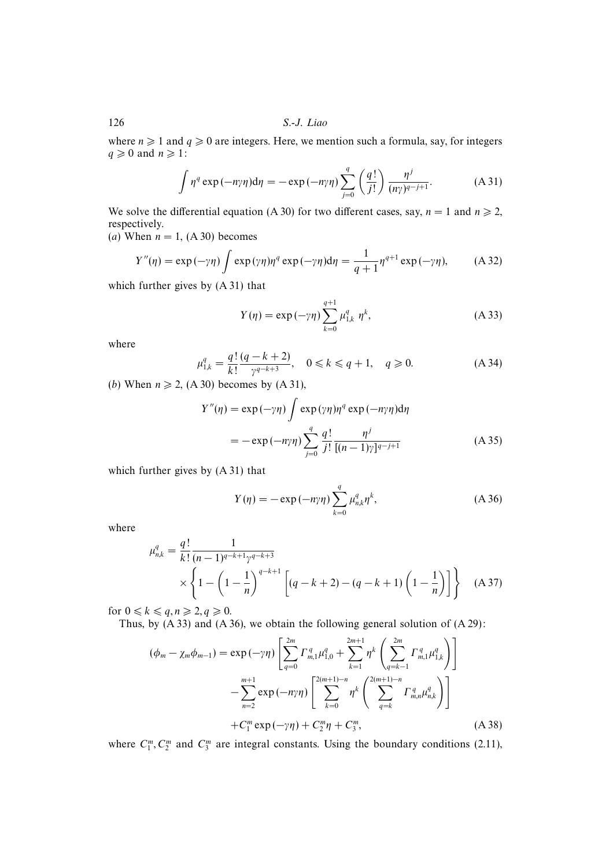where  $n \geq 1$  and  $q \geq 0$  are integers. Here, we mention such a formula, say, for integers  $q \geq 0$  and  $n \geq 1$ :

$$
\int \eta^q \exp(-n\gamma \eta) d\eta = -\exp(-n\gamma \eta) \sum_{j=0}^q \left(\frac{q!}{j!}\right) \frac{\eta^j}{(n\gamma)^{q-j+1}}.
$$
 (A 31)

We solve the differential equation (A 30) for two different cases, say,  $n = 1$  and  $n \ge 2$ , respectively.

(a) When  $n = 1$ , (A 30) becomes

$$
Y''(\eta) = \exp(-\gamma \eta) \int \exp(\gamma \eta) \eta^q \exp(-\gamma \eta) d\eta = \frac{1}{q+1} \eta^{q+1} \exp(-\gamma \eta), \quad (A 32)
$$

which further gives by (A 31) that

$$
Y(\eta) = \exp(-\gamma \eta) \sum_{k=0}^{q+1} \mu_{1,k}^q \eta^k,
$$
 (A 33)

where

$$
\mu_{1,k}^q = \frac{q!}{k!} \frac{(q - k + 2)}{\gamma^{q - k + 3}}, \quad 0 \le k \le q + 1, \quad q \ge 0.
$$
 (A 34)

(b) When  $n \ge 2$ , (A 30) becomes by (A 31),

$$
Y''(\eta) = \exp(-\gamma \eta) \int \exp(\gamma \eta) \eta^q \exp(-n\gamma \eta) d\eta
$$
  
= 
$$
-\exp(-n\gamma \eta) \sum_{j=0}^q \frac{q!}{j!} \frac{\eta^j}{[(n-1)\gamma]^{q-j+1}}
$$
 (A 35)

which further gives by (A 31) that

$$
Y(\eta) = -\exp(-n\gamma\eta) \sum_{k=0}^{q} \mu_{n,k}^{q} \eta^{k},
$$
 (A 36)

where

$$
\mu_{n,k}^q = \frac{q!}{k!} \frac{1}{(n-1)^{q-k+1} \gamma^{q-k+3}} \times \left\{ 1 - \left( 1 - \frac{1}{n} \right)^{q-k+1} \left[ (q-k+2) - (q-k+1) \left( 1 - \frac{1}{n} \right) \right] \right\}
$$
 (A 37)

for  $0 \leq k \leq q, n \geq 2, q \geq 0$ .

Thus, by  $(A 33)$  and  $(A 36)$ , we obtain the following general solution of  $(A 29)$ :

$$
(\phi_m - \chi_m \phi_{m-1}) = \exp(-\gamma \eta) \left[ \sum_{q=0}^{2m} \Gamma_{m,1}^q \mu_{1,0}^q + \sum_{k=1}^{2m+1} \eta^k \left( \sum_{q=k-1}^{2m} \Gamma_{m,1}^q \mu_{1,k}^q \right) \right]
$$
  

$$
- \sum_{n=2}^{m+1} \exp(-n\gamma \eta) \left[ \sum_{k=0}^{2(m+1)-n} \eta^k \left( \sum_{q=k}^{2(m+1)-n} \Gamma_{m,n}^q \mu_{n,k}^q \right) \right]
$$
  
+  $C_1^m \exp(-\gamma \eta) + C_2^m \eta + C_3^m,$  (A 38)

where  $C_1^m, C_2^m$  and  $C_3^m$  are integral constants. Using the boundary conditions (2.11),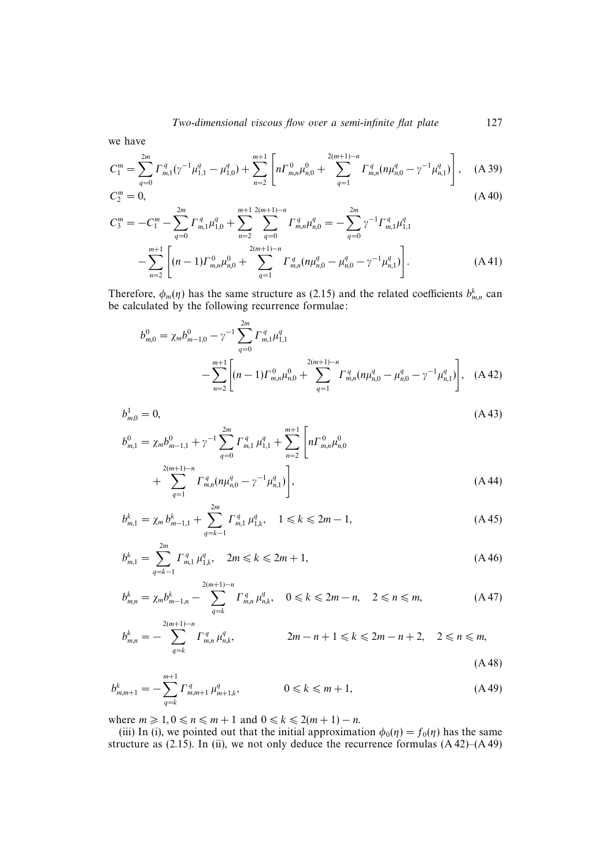we have

$$
C_1^m = \sum_{q=0}^{2m} \Gamma_{m,1}^q (\gamma^{-1} \mu_{1,1}^q - \mu_{1,0}^q) + \sum_{n=2}^{m+1} \left[ n \Gamma_{m,n}^0 \mu_{n,0}^0 + \sum_{q=1}^{2(m+1)-n} \Gamma_{m,n}^q (n \mu_{n,0}^q - \gamma^{-1} \mu_{n,1}^q) \right], \quad \text{(A 39)}
$$
  
\n
$$
C_2^m = 0, \quad \text{(A 40)}
$$

$$
C_3^m = -C_1^m - \sum_{q=0}^{2m} \Gamma_{m,1}^q \mu_{1,0}^q + \sum_{n=2}^{m+1} \sum_{q=0}^{2(m+1)-n} \Gamma_{m,n}^q \mu_{n,0}^q = -\sum_{q=0}^{2m} \gamma^{-1} \Gamma_{m,1}^q \mu_{1,1}^q
$$

$$
- \sum_{n=2}^{m+1} \left[ (n-1) \Gamma_{m,n}^0 \mu_{n,0}^0 + \sum_{q=1}^{2(m+1)-n} \Gamma_{m,n}^q (n \mu_{n,0}^q - \mu_{n,0}^q - \gamma^{-1} \mu_{n,1}^q) \right].
$$
 (A 41)

Therefore,  $\phi_m(\eta)$  has the same structure as (2.15) and the related coefficients  $b_{m,n}^k$  can be calculated by the following recurrence formulae:

$$
b_{m,0}^{0} = \chi_m b_{m-1,0}^{0} - \gamma^{-1} \sum_{q=0}^{2m} \Gamma_{m,1}^q \mu_{1,1}^q
$$
  
 
$$
- \sum_{n=2}^{m+1} \left[ (n-1) \Gamma_{m,n}^0 \mu_{n,0}^0 + \sum_{q=1}^{2(m+1)-n} \Gamma_{m,n}^q (n \mu_{n,0}^q - \mu_{n,0}^q - \gamma^{-1} \mu_{n,1}^q) \right], \quad (A\,42)
$$

$$
b_{m,0}^1 = 0,
$$
\n
$$
(A 43)
$$
\n
$$
b_{m,1}^0 = \chi_m b_{m-1,1}^0 + \gamma^{-1} \sum_{q=0}^{2m} \Gamma_{m,1}^q \mu_{1,1}^q + \sum_{n=2}^{m+1} \left[ n \Gamma_{m,n}^0 \mu_{n,0}^0 + \sum_{q=1}^{2(m+1)-n} \Gamma_{m,n}^q (n \mu_{n,0}^q - \gamma^{-1} \mu_{n,1}^q) \right],
$$
\n(A 44)

$$
b_{m,1}^k = \chi_m b_{m-1,1}^k + \sum_{q=k-1}^{2m} \Gamma_{m,1}^q \mu_{1,k}^q, \quad 1 \le k \le 2m-1,
$$
 (A 45)

$$
b_{m,1}^k = \sum_{q=k-1}^{2m} \Gamma_{m,1}^q \mu_{1,k}^q, \quad 2m \le k \le 2m+1,
$$
\n(A 46)

$$
b_{m,n}^k = \chi_m b_{m-1,n}^k - \sum_{q=k}^{2(m+1)-n} \Gamma_{m,n}^q \mu_{n,k}^q, \quad 0 \le k \le 2m-n, \quad 2 \le n \le m,
$$
 (A 47)

$$
b_{m,n}^k = -\sum_{q=k}^{2(m+1)-n} \Gamma_{m,n}^q \mu_{n,k}^q, \qquad 2m-n+1 \le k \le 2m-n+2, \quad 2 \le n \le m,
$$
\n(A 48)

$$
b_{m,m+1}^k = -\sum_{q=k}^{m+1} \Gamma_{m,m+1}^q \mu_{m+1,k}^q, \qquad 0 \le k \le m+1,
$$
\n(A49)

where  $m \geq 1, 0 \leq n \leq m+1$  and  $0 \leq k \leq 2(m+1)-n$ .

(iii) In (i), we pointed out that the initial approximation  $\phi_0(\eta) = f_0(\eta)$  has the same structure as  $(2.15)$ . In (ii), we not only deduce the recurrence formulas  $(A 42)$ – $(A 49)$